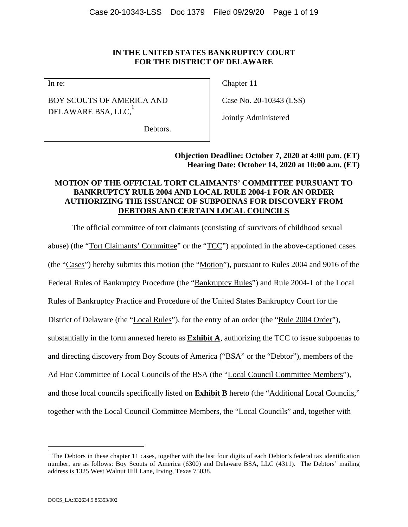#### **IN THE UNITED STATES BANKRUPTCY COURT FOR THE DISTRICT OF DELAWARE**

In re:

BOY SCOUTS OF AMERICA AND DELAWARE BSA, LLC, $^\mathrm{1}$ 

Chapter 11

Case No. 20-10343 (LSS)

Jointly Administered

Debtors.

**Objection Deadline: October 7, 2020 at 4:00 p.m. (ET) Hearing Date: October 14, 2020 at 10:00 a.m. (ET)** 

# **MOTION OF THE OFFICIAL TORT CLAIMANTS' COMMITTEE PURSUANT TO BANKRUPTCY RULE 2004 AND LOCAL RULE 2004-1 FOR AN ORDER AUTHORIZING THE ISSUANCE OF SUBPOENAS FOR DISCOVERY FROM DEBTORS AND CERTAIN LOCAL COUNCILS**

The official committee of tort claimants (consisting of survivors of childhood sexual abuse) (the "Tort Claimants' Committee" or the "TCC") appointed in the above-captioned cases (the "Cases") hereby submits this motion (the "Motion"), pursuant to Rules 2004 and 9016 of the Federal Rules of Bankruptcy Procedure (the "Bankruptcy Rules") and Rule 2004-1 of the Local Rules of Bankruptcy Practice and Procedure of the United States Bankruptcy Court for the District of Delaware (the "Local Rules"), for the entry of an order (the "Rule 2004 Order"), substantially in the form annexed hereto as **Exhibit A**, authorizing the TCC to issue subpoenas to and directing discovery from Boy Scouts of America ("BSA" or the "Debtor"), members of the Ad Hoc Committee of Local Councils of the BSA (the "Local Council Committee Members"), and those local councils specifically listed on **Exhibit B** hereto (the "Additional Local Councils," together with the Local Council Committee Members, the "Local Councils" and, together with

 $\overline{a}$ 

<sup>1</sup> The Debtors in these chapter 11 cases, together with the last four digits of each Debtor's federal tax identification number, are as follows: Boy Scouts of America (6300) and Delaware BSA, LLC (4311). The Debtors' mailing address is 1325 West Walnut Hill Lane, Irving, Texas 75038.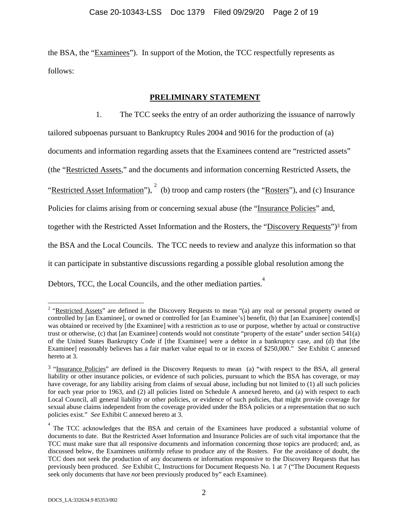the BSA, the "Examinees"). In support of the Motion, the TCC respectfully represents as follows:

#### **PRELIMINARY STATEMENT**

1. The TCC seeks the entry of an order authorizing the issuance of narrowly tailored subpoenas pursuant to Bankruptcy Rules 2004 and 9016 for the production of (a) documents and information regarding assets that the Examinees contend are "restricted assets" (the "Restricted Assets," and the documents and information concerning Restricted Assets, the "Restricted Asset Information"),  $\frac{2}{3}$  (b) troop and camp rosters (the "Rosters"), and (c) Insurance Policies for claims arising from or concerning sexual abuse (the "Insurance Policies" and, together with the Restricted Asset Information and the Rosters, the "Discovery Requests")<sup>3</sup> from the BSA and the Local Councils. The TCC needs to review and analyze this information so that it can participate in substantive discussions regarding a possible global resolution among the Debtors, TCC, the Local Councils, and the other mediation parties.<sup>4</sup>

 $\overline{a}$ 

<sup>&</sup>lt;sup>2</sup> "Restricted Assets" are defined in the Discovery Requests to mean "(a) any real or personal property owned or controlled by [an Examinee], or owned or controlled for [an Examinee's] benefit, (b) that [an Examinee] contend[s] was obtained or received by [the Examinee] with a restriction as to use or purpose, whether by actual or constructive trust or otherwise, (c) that [an Examinee] contends would not constitute "property of the estate" under section 541(a) of the United States Bankruptcy Code if [the Examinee] were a debtor in a bankruptcy case, and (d) that [the Examinee] reasonably believes has a fair market value equal to or in excess of \$250,000." *See* Exhibit C annexed hereto at 3.

<sup>3 &</sup>quot;Insurance Policies" are defined in the Discovery Requests to mean (a) "with respect to the BSA, all general liability or other insurance policies, or evidence of such policies, pursuant to which the BSA has coverage, or may have coverage, for any liability arising from claims of sexual abuse, including but not limited to (1) all such policies for each year prior to 1963, and (2) all policies listed on Schedule A annexed hereto, and (a) with respect to each Local Council, all general liability or other policies, or evidence of such policies, that might provide coverage for sexual abuse claims independent from the coverage provided under the BSA policies or a representation that no such policies exist." *See* Exhibit C annexed hereto at 3.

<sup>&</sup>lt;sup>4</sup> The TCC acknowledges that the BSA and certain of the Examinees have produced a substantial volume of documents to date. But the Restricted Asset Information and Insurance Policies are of such vital importance that the TCC must make sure that all responsive documents and information concerning those topics are produced; and, as discussed below, the Examinees uniformly refuse to produce any of the Rosters. For the avoidance of doubt, the TCC does not seek the production of any documents or information responsive to the Discovery Requests that has previously been produced. *See* Exhibit C, Instructions for Document Requests No. 1 at 7 ("The Document Requests seek only documents that have *not* been previously produced by" each Examinee).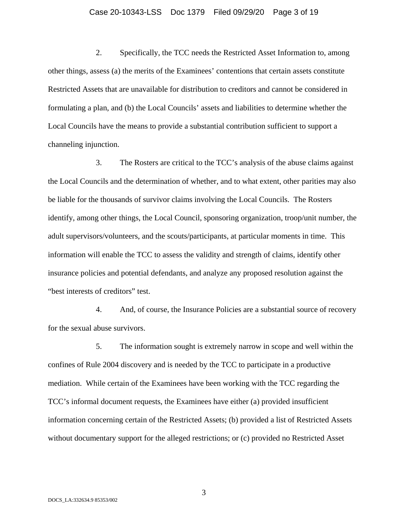#### Case 20-10343-LSS Doc 1379 Filed 09/29/20 Page 3 of 19

2. Specifically, the TCC needs the Restricted Asset Information to, among other things, assess (a) the merits of the Examinees' contentions that certain assets constitute Restricted Assets that are unavailable for distribution to creditors and cannot be considered in formulating a plan, and (b) the Local Councils' assets and liabilities to determine whether the Local Councils have the means to provide a substantial contribution sufficient to support a channeling injunction.

3. The Rosters are critical to the TCC's analysis of the abuse claims against the Local Councils and the determination of whether, and to what extent, other parities may also be liable for the thousands of survivor claims involving the Local Councils. The Rosters identify, among other things, the Local Council, sponsoring organization, troop/unit number, the adult supervisors/volunteers, and the scouts/participants, at particular moments in time. This information will enable the TCC to assess the validity and strength of claims, identify other insurance policies and potential defendants, and analyze any proposed resolution against the "best interests of creditors" test.

4. And, of course, the Insurance Policies are a substantial source of recovery for the sexual abuse survivors.

5. The information sought is extremely narrow in scope and well within the confines of Rule 2004 discovery and is needed by the TCC to participate in a productive mediation. While certain of the Examinees have been working with the TCC regarding the TCC's informal document requests, the Examinees have either (a) provided insufficient information concerning certain of the Restricted Assets; (b) provided a list of Restricted Assets without documentary support for the alleged restrictions; or (c) provided no Restricted Asset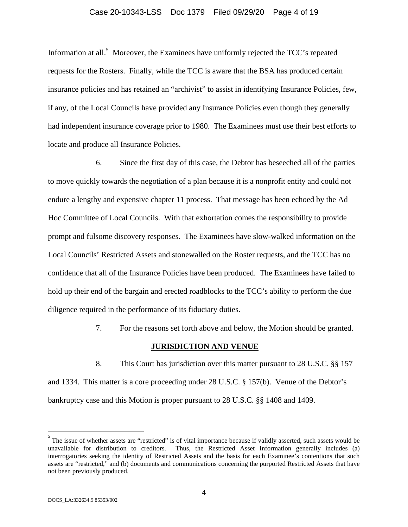#### Case 20-10343-LSS Doc 1379 Filed 09/29/20 Page 4 of 19

Information at all.<sup>5</sup> Moreover, the Examinees have uniformly rejected the TCC's repeated requests for the Rosters. Finally, while the TCC is aware that the BSA has produced certain insurance policies and has retained an "archivist" to assist in identifying Insurance Policies, few, if any, of the Local Councils have provided any Insurance Policies even though they generally had independent insurance coverage prior to 1980. The Examinees must use their best efforts to locate and produce all Insurance Policies.

6. Since the first day of this case, the Debtor has beseeched all of the parties to move quickly towards the negotiation of a plan because it is a nonprofit entity and could not endure a lengthy and expensive chapter 11 process. That message has been echoed by the Ad Hoc Committee of Local Councils. With that exhortation comes the responsibility to provide prompt and fulsome discovery responses. The Examinees have slow-walked information on the Local Councils' Restricted Assets and stonewalled on the Roster requests, and the TCC has no confidence that all of the Insurance Policies have been produced. The Examinees have failed to hold up their end of the bargain and erected roadblocks to the TCC's ability to perform the due diligence required in the performance of its fiduciary duties.

7. For the reasons set forth above and below, the Motion should be granted.

#### **JURISDICTION AND VENUE**

8. This Court has jurisdiction over this matter pursuant to 28 U.S.C. §§ 157 and 1334. This matter is a core proceeding under 28 U.S.C. § 157(b). Venue of the Debtor's bankruptcy case and this Motion is proper pursuant to 28 U.S.C. §§ 1408 and 1409.

<sup>&</sup>lt;sup>5</sup><br>The issue of whether assets are "restricted" is of vital importance because if validly asserted, such assets would be unavailable for distribution to creditors. Thus, the Restricted Asset Information generally includes (a) interrogatories seeking the identity of Restricted Assets and the basis for each Examinee's contentions that such assets are "restricted," and (b) documents and communications concerning the purported Restricted Assets that have not been previously produced.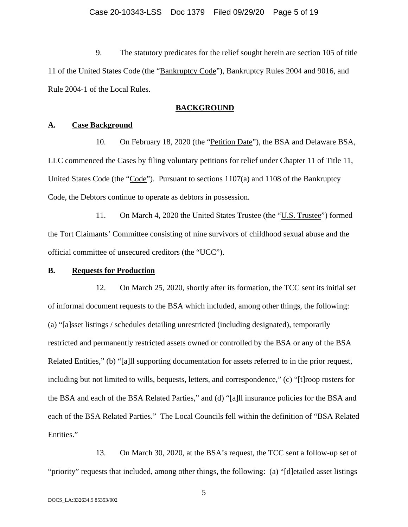9. The statutory predicates for the relief sought herein are section 105 of title 11 of the United States Code (the "Bankruptcy Code"), Bankruptcy Rules 2004 and 9016, and Rule 2004-1 of the Local Rules.

#### **BACKGROUND**

#### **A. Case Background**

10. On February 18, 2020 (the "Petition Date"), the BSA and Delaware BSA, LLC commenced the Cases by filing voluntary petitions for relief under Chapter 11 of Title 11, United States Code (the "Code"). Pursuant to sections  $1107(a)$  and  $1108$  of the Bankruptcy Code, the Debtors continue to operate as debtors in possession.

11. On March 4, 2020 the United States Trustee (the "U.S. Trustee") formed the Tort Claimants' Committee consisting of nine survivors of childhood sexual abuse and the official committee of unsecured creditors (the "UCC").

#### **B. Requests for Production**

12. On March 25, 2020, shortly after its formation, the TCC sent its initial set of informal document requests to the BSA which included, among other things, the following: (a) "[a]sset listings / schedules detailing unrestricted (including designated), temporarily restricted and permanently restricted assets owned or controlled by the BSA or any of the BSA Related Entities," (b) "[a]ll supporting documentation for assets referred to in the prior request, including but not limited to wills, bequests, letters, and correspondence," (c) "[t]roop rosters for the BSA and each of the BSA Related Parties," and (d) "[a]ll insurance policies for the BSA and each of the BSA Related Parties." The Local Councils fell within the definition of "BSA Related Entities."

13. On March 30, 2020, at the BSA's request, the TCC sent a follow-up set of "priority" requests that included, among other things, the following: (a) "[d]etailed asset listings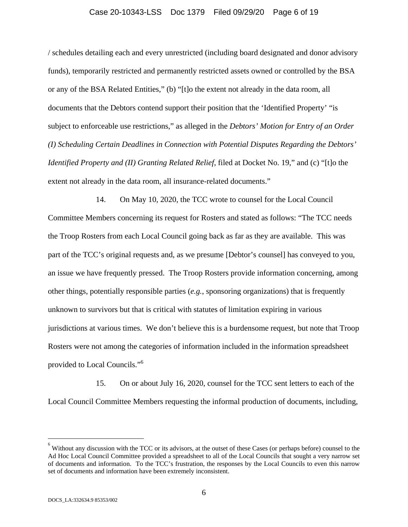#### Case 20-10343-LSS Doc 1379 Filed 09/29/20 Page 6 of 19

/ schedules detailing each and every unrestricted (including board designated and donor advisory funds), temporarily restricted and permanently restricted assets owned or controlled by the BSA or any of the BSA Related Entities," (b) "[t]o the extent not already in the data room, all documents that the Debtors contend support their position that the 'Identified Property' "is subject to enforceable use restrictions," as alleged in the *Debtors' Motion for Entry of an Order (I) Scheduling Certain Deadlines in Connection with Potential Disputes Regarding the Debtors' Identified Property and (II) Granting Related Relief*, filed at Docket No. 19," and (c) "[t]o the extent not already in the data room, all insurance-related documents."

14. On May 10, 2020, the TCC wrote to counsel for the Local Council Committee Members concerning its request for Rosters and stated as follows: "The TCC needs the Troop Rosters from each Local Council going back as far as they are available. This was part of the TCC's original requests and, as we presume [Debtor's counsel] has conveyed to you, an issue we have frequently pressed. The Troop Rosters provide information concerning, among other things, potentially responsible parties (*e.g.*, sponsoring organizations) that is frequently unknown to survivors but that is critical with statutes of limitation expiring in various jurisdictions at various times. We don't believe this is a burdensome request, but note that Troop Rosters were not among the categories of information included in the information spreadsheet provided to Local Councils."<sup>6</sup>

15. On or about July 16, 2020, counsel for the TCC sent letters to each of the Local Council Committee Members requesting the informal production of documents, including,

 $\overline{a}$ 

<sup>6</sup> Without any discussion with the TCC or its advisors, at the outset of these Cases (or perhaps before) counsel to the Ad Hoc Local Council Committee provided a spreadsheet to all of the Local Councils that sought a very narrow set of documents and information. To the TCC's frustration, the responses by the Local Councils to even this narrow set of documents and information have been extremely inconsistent.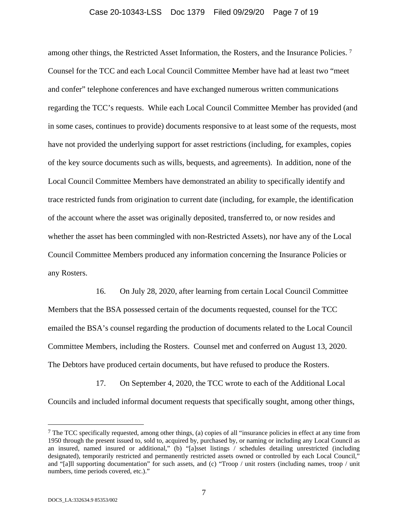#### Case 20-10343-LSS Doc 1379 Filed 09/29/20 Page 7 of 19

among other things, the Restricted Asset Information, the Rosters, and the Insurance Policies. 7 Counsel for the TCC and each Local Council Committee Member have had at least two "meet and confer" telephone conferences and have exchanged numerous written communications regarding the TCC's requests. While each Local Council Committee Member has provided (and in some cases, continues to provide) documents responsive to at least some of the requests, most have not provided the underlying support for asset restrictions (including, for examples, copies of the key source documents such as wills, bequests, and agreements). In addition, none of the Local Council Committee Members have demonstrated an ability to specifically identify and trace restricted funds from origination to current date (including, for example, the identification of the account where the asset was originally deposited, transferred to, or now resides and whether the asset has been commingled with non-Restricted Assets), nor have any of the Local Council Committee Members produced any information concerning the Insurance Policies or any Rosters.

16. On July 28, 2020, after learning from certain Local Council Committee Members that the BSA possessed certain of the documents requested, counsel for the TCC emailed the BSA's counsel regarding the production of documents related to the Local Council Committee Members, including the Rosters. Counsel met and conferred on August 13, 2020. The Debtors have produced certain documents, but have refused to produce the Rosters.

17. On September 4, 2020, the TCC wrote to each of the Additional Local Councils and included informal document requests that specifically sought, among other things,

<sup>&</sup>lt;sup>7</sup> The TCC specifically requested, among other things, (a) copies of all "insurance policies in effect at any time from 1950 through the present issued to, sold to, acquired by, purchased by, or naming or including any Local Council as an insured, named insured or additional," (b) "[a]sset listings / schedules detailing unrestricted (including designated), temporarily restricted and permanently restricted assets owned or controlled by each Local Council," and "[a]ll supporting documentation" for such assets, and (c) "Troop / unit rosters (including names, troop / unit numbers, time periods covered, etc.)."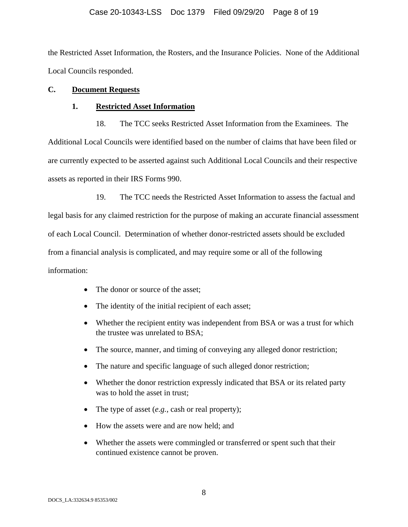#### Case 20-10343-LSS Doc 1379 Filed 09/29/20 Page 8 of 19

the Restricted Asset Information, the Rosters, and the Insurance Policies. None of the Additional Local Councils responded.

### **C. Document Requests**

#### **1. Restricted Asset Information**

18. The TCC seeks Restricted Asset Information from the Examinees. The Additional Local Councils were identified based on the number of claims that have been filed or are currently expected to be asserted against such Additional Local Councils and their respective assets as reported in their IRS Forms 990.

19. The TCC needs the Restricted Asset Information to assess the factual and legal basis for any claimed restriction for the purpose of making an accurate financial assessment of each Local Council. Determination of whether donor-restricted assets should be excluded from a financial analysis is complicated, and may require some or all of the following information:

- The donor or source of the asset;
- The identity of the initial recipient of each asset;
- Whether the recipient entity was independent from BSA or was a trust for which the trustee was unrelated to BSA;
- The source, manner, and timing of conveying any alleged donor restriction;
- The nature and specific language of such alleged donor restriction;
- Whether the donor restriction expressly indicated that BSA or its related party was to hold the asset in trust;
- The type of asset (*e.g.*, cash or real property);
- How the assets were and are now held; and
- Whether the assets were commingled or transferred or spent such that their continued existence cannot be proven.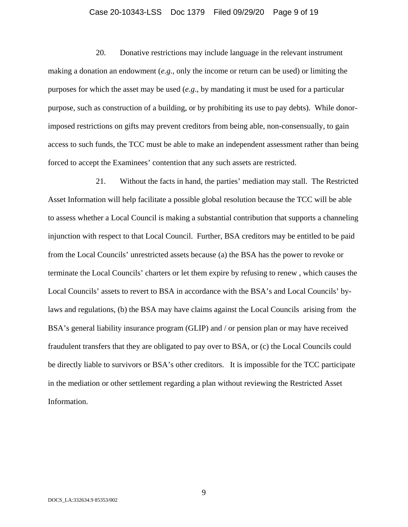#### Case 20-10343-LSS Doc 1379 Filed 09/29/20 Page 9 of 19

20. Donative restrictions may include language in the relevant instrument making a donation an endowment (*e.g.*, only the income or return can be used) or limiting the purposes for which the asset may be used (*e.g*., by mandating it must be used for a particular purpose, such as construction of a building, or by prohibiting its use to pay debts). While donorimposed restrictions on gifts may prevent creditors from being able, non-consensually, to gain access to such funds, the TCC must be able to make an independent assessment rather than being forced to accept the Examinees' contention that any such assets are restricted.

21. Without the facts in hand, the parties' mediation may stall. The Restricted Asset Information will help facilitate a possible global resolution because the TCC will be able to assess whether a Local Council is making a substantial contribution that supports a channeling injunction with respect to that Local Council. Further, BSA creditors may be entitled to be paid from the Local Councils' unrestricted assets because (a) the BSA has the power to revoke or terminate the Local Councils' charters or let them expire by refusing to renew , which causes the Local Councils' assets to revert to BSA in accordance with the BSA's and Local Councils' bylaws and regulations, (b) the BSA may have claims against the Local Councils arising from the BSA's general liability insurance program (GLIP) and / or pension plan or may have received fraudulent transfers that they are obligated to pay over to BSA, or (c) the Local Councils could be directly liable to survivors or BSA's other creditors. It is impossible for the TCC participate in the mediation or other settlement regarding a plan without reviewing the Restricted Asset Information.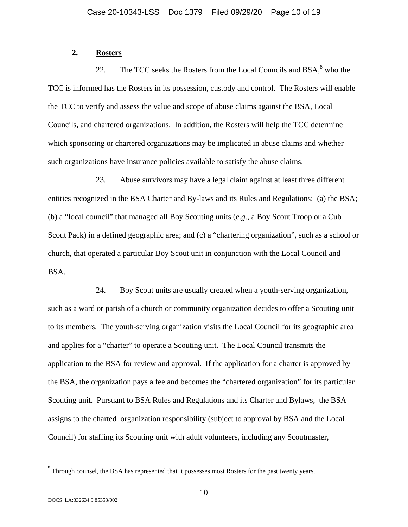### **2. Rosters**

22. The TCC seeks the Rosters from the Local Councils and  $BSA$ ,<sup>8</sup> who the TCC is informed has the Rosters in its possession, custody and control. The Rosters will enable the TCC to verify and assess the value and scope of abuse claims against the BSA, Local Councils, and chartered organizations. In addition, the Rosters will help the TCC determine which sponsoring or chartered organizations may be implicated in abuse claims and whether such organizations have insurance policies available to satisfy the abuse claims.

23. Abuse survivors may have a legal claim against at least three different entities recognized in the BSA Charter and By-laws and its Rules and Regulations: (a) the BSA; (b) a "local council" that managed all Boy Scouting units (*e.g.*, a Boy Scout Troop or a Cub Scout Pack) in a defined geographic area; and (c) a "chartering organization", such as a school or church, that operated a particular Boy Scout unit in conjunction with the Local Council and BSA.

24. Boy Scout units are usually created when a youth-serving organization, such as a ward or parish of a church or community organization decides to offer a Scouting unit to its members. The youth-serving organization visits the Local Council for its geographic area and applies for a "charter" to operate a Scouting unit. The Local Council transmits the application to the BSA for review and approval. If the application for a charter is approved by the BSA, the organization pays a fee and becomes the "chartered organization" for its particular Scouting unit. Pursuant to BSA Rules and Regulations and its Charter and Bylaws, the BSA assigns to the charted organization responsibility (subject to approval by BSA and the Local Council) for staffing its Scouting unit with adult volunteers, including any Scoutmaster,

 $\overline{a}$ 

<sup>8</sup> Through counsel, the BSA has represented that it possesses most Rosters for the past twenty years.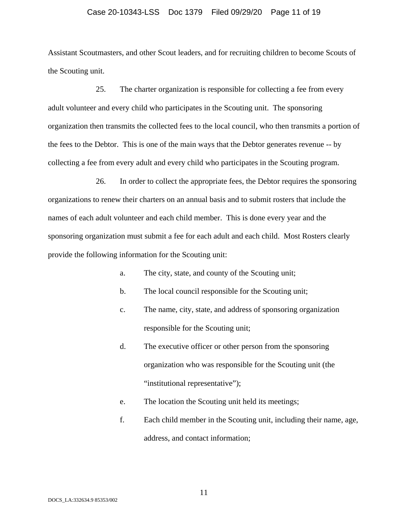#### Case 20-10343-LSS Doc 1379 Filed 09/29/20 Page 11 of 19

Assistant Scoutmasters, and other Scout leaders, and for recruiting children to become Scouts of the Scouting unit.

25. The charter organization is responsible for collecting a fee from every adult volunteer and every child who participates in the Scouting unit. The sponsoring organization then transmits the collected fees to the local council, who then transmits a portion of the fees to the Debtor. This is one of the main ways that the Debtor generates revenue -- by collecting a fee from every adult and every child who participates in the Scouting program.

26. In order to collect the appropriate fees, the Debtor requires the sponsoring organizations to renew their charters on an annual basis and to submit rosters that include the names of each adult volunteer and each child member. This is done every year and the sponsoring organization must submit a fee for each adult and each child. Most Rosters clearly provide the following information for the Scouting unit:

- a. The city, state, and county of the Scouting unit;
- b. The local council responsible for the Scouting unit;
- c. The name, city, state, and address of sponsoring organization responsible for the Scouting unit;
- d. The executive officer or other person from the sponsoring organization who was responsible for the Scouting unit (the "institutional representative");
- e. The location the Scouting unit held its meetings;
- f. Each child member in the Scouting unit, including their name, age, address, and contact information;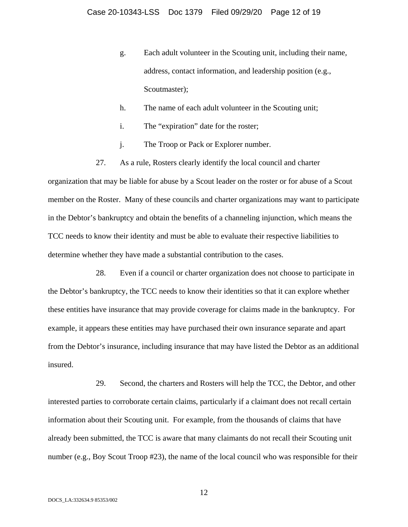- g. Each adult volunteer in the Scouting unit, including their name, address, contact information, and leadership position (e.g., Scoutmaster);
- h. The name of each adult volunteer in the Scouting unit;
- i. The "expiration" date for the roster;
- j. The Troop or Pack or Explorer number.
- 27. As a rule, Rosters clearly identify the local council and charter

organization that may be liable for abuse by a Scout leader on the roster or for abuse of a Scout member on the Roster. Many of these councils and charter organizations may want to participate in the Debtor's bankruptcy and obtain the benefits of a channeling injunction, which means the TCC needs to know their identity and must be able to evaluate their respective liabilities to determine whether they have made a substantial contribution to the cases.

28. Even if a council or charter organization does not choose to participate in the Debtor's bankruptcy, the TCC needs to know their identities so that it can explore whether these entities have insurance that may provide coverage for claims made in the bankruptcy. For example, it appears these entities may have purchased their own insurance separate and apart from the Debtor's insurance, including insurance that may have listed the Debtor as an additional insured.

29. Second, the charters and Rosters will help the TCC, the Debtor, and other interested parties to corroborate certain claims, particularly if a claimant does not recall certain information about their Scouting unit. For example, from the thousands of claims that have already been submitted, the TCC is aware that many claimants do not recall their Scouting unit number (e.g., Boy Scout Troop #23), the name of the local council who was responsible for their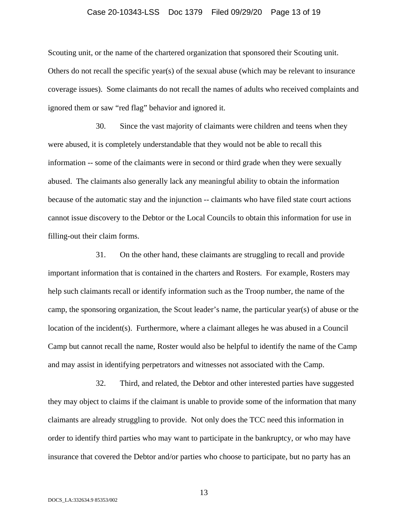#### Case 20-10343-LSS Doc 1379 Filed 09/29/20 Page 13 of 19

Scouting unit, or the name of the chartered organization that sponsored their Scouting unit. Others do not recall the specific year(s) of the sexual abuse (which may be relevant to insurance coverage issues). Some claimants do not recall the names of adults who received complaints and ignored them or saw "red flag" behavior and ignored it.

30. Since the vast majority of claimants were children and teens when they were abused, it is completely understandable that they would not be able to recall this information -- some of the claimants were in second or third grade when they were sexually abused. The claimants also generally lack any meaningful ability to obtain the information because of the automatic stay and the injunction -- claimants who have filed state court actions cannot issue discovery to the Debtor or the Local Councils to obtain this information for use in filling-out their claim forms.

31. On the other hand, these claimants are struggling to recall and provide important information that is contained in the charters and Rosters. For example, Rosters may help such claimants recall or identify information such as the Troop number, the name of the camp, the sponsoring organization, the Scout leader's name, the particular year(s) of abuse or the location of the incident(s). Furthermore, where a claimant alleges he was abused in a Council Camp but cannot recall the name, Roster would also be helpful to identify the name of the Camp and may assist in identifying perpetrators and witnesses not associated with the Camp.

32. Third, and related, the Debtor and other interested parties have suggested they may object to claims if the claimant is unable to provide some of the information that many claimants are already struggling to provide. Not only does the TCC need this information in order to identify third parties who may want to participate in the bankruptcy, or who may have insurance that covered the Debtor and/or parties who choose to participate, but no party has an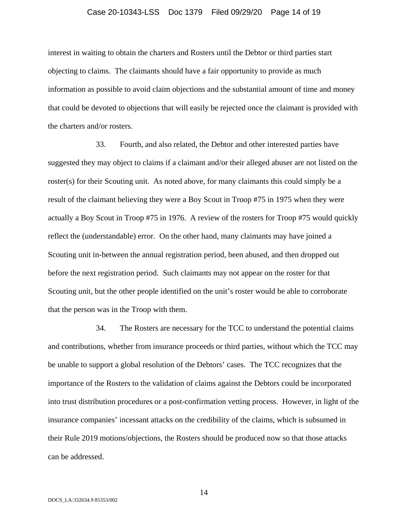#### Case 20-10343-LSS Doc 1379 Filed 09/29/20 Page 14 of 19

interest in waiting to obtain the charters and Rosters until the Debtor or third parties start objecting to claims. The claimants should have a fair opportunity to provide as much information as possible to avoid claim objections and the substantial amount of time and money that could be devoted to objections that will easily be rejected once the claimant is provided with the charters and/or rosters.

33. Fourth, and also related, the Debtor and other interested parties have suggested they may object to claims if a claimant and/or their alleged abuser are not listed on the roster(s) for their Scouting unit. As noted above, for many claimants this could simply be a result of the claimant believing they were a Boy Scout in Troop #75 in 1975 when they were actually a Boy Scout in Troop #75 in 1976. A review of the rosters for Troop #75 would quickly reflect the (understandable) error. On the other hand, many claimants may have joined a Scouting unit in-between the annual registration period, been abused, and then dropped out before the next registration period. Such claimants may not appear on the roster for that Scouting unit, but the other people identified on the unit's roster would be able to corroborate that the person was in the Troop with them.

34. The Rosters are necessary for the TCC to understand the potential claims and contributions, whether from insurance proceeds or third parties, without which the TCC may be unable to support a global resolution of the Debtors' cases. The TCC recognizes that the importance of the Rosters to the validation of claims against the Debtors could be incorporated into trust distribution procedures or a post-confirmation vetting process. However, in light of the insurance companies' incessant attacks on the credibility of the claims, which is subsumed in their Rule 2019 motions/objections, the Rosters should be produced now so that those attacks can be addressed.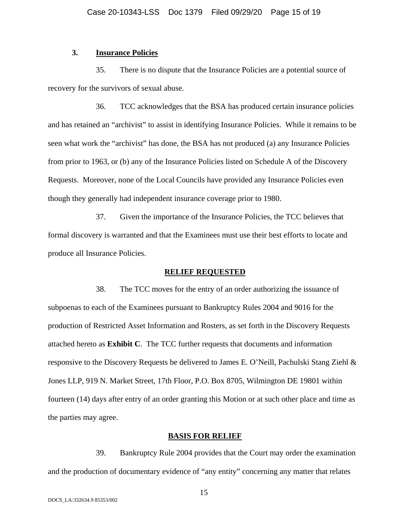### **3. Insurance Policies**

35. There is no dispute that the Insurance Policies are a potential source of recovery for the survivors of sexual abuse.

36. TCC acknowledges that the BSA has produced certain insurance policies and has retained an "archivist" to assist in identifying Insurance Policies. While it remains to be seen what work the "archivist" has done, the BSA has not produced (a) any Insurance Policies from prior to 1963, or (b) any of the Insurance Policies listed on Schedule A of the Discovery Requests. Moreover, none of the Local Councils have provided any Insurance Policies even though they generally had independent insurance coverage prior to 1980.

37. Given the importance of the Insurance Policies, the TCC believes that formal discovery is warranted and that the Examinees must use their best efforts to locate and produce all Insurance Policies.

#### **RELIEF REQUESTED**

38. The TCC moves for the entry of an order authorizing the issuance of subpoenas to each of the Examinees pursuant to Bankruptcy Rules 2004 and 9016 for the production of Restricted Asset Information and Rosters, as set forth in the Discovery Requests attached hereto as **Exhibit C**. The TCC further requests that documents and information responsive to the Discovery Requests be delivered to James E. O'Neill, Pachulski Stang Ziehl & Jones LLP, 919 N. Market Street, 17th Floor, P.O. Box 8705, Wilmington DE 19801 within fourteen (14) days after entry of an order granting this Motion or at such other place and time as the parties may agree.

#### **BASIS FOR RELIEF**

39. Bankruptcy Rule 2004 provides that the Court may order the examination and the production of documentary evidence of "any entity" concerning any matter that relates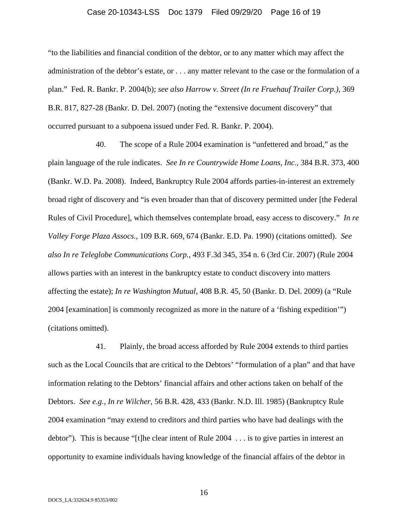#### Case 20-10343-LSS Doc 1379 Filed 09/29/20 Page 16 of 19

"to the liabilities and financial condition of the debtor, or to any matter which may affect the administration of the debtor's estate, or . . . any matter relevant to the case or the formulation of a plan." Fed. R. Bankr. P. 2004(b); *see also Harrow v. Street (In re Fruehauf Trailer Corp.)*, 369 B.R. 817, 827-28 (Bankr. D. Del. 2007) (noting the "extensive document discovery" that occurred pursuant to a subpoena issued under Fed. R. Bankr. P. 2004).

40. The scope of a Rule 2004 examination is "unfettered and broad," as the plain language of the rule indicates. *See In re Countrywide Home Loans, Inc.*, 384 B.R. 373, 400 (Bankr. W.D. Pa. 2008). Indeed, Bankruptcy Rule 2004 affords parties-in-interest an extremely broad right of discovery and "is even broader than that of discovery permitted under [the Federal Rules of Civil Procedure], which themselves contemplate broad, easy access to discovery." *In re Valley Forge Plaza Assocs.*, 109 B.R. 669, 674 (Bankr. E.D. Pa. 1990) (citations omitted). *See also In re Teleglobe Communications Corp.*, 493 F.3d 345, 354 n. 6 (3rd Cir. 2007) (Rule 2004 allows parties with an interest in the bankruptcy estate to conduct discovery into matters affecting the estate); *In re Washington Mutual*, 408 B.R. 45, 50 (Bankr. D. Del. 2009) (a "Rule 2004 [examination] is commonly recognized as more in the nature of a 'fishing expedition'") (citations omitted).

41. Plainly, the broad access afforded by Rule 2004 extends to third parties such as the Local Councils that are critical to the Debtors' "formulation of a plan" and that have information relating to the Debtors' financial affairs and other actions taken on behalf of the Debtors. *See e.g., In re Wilcher,* 56 B.R. 428, 433 (Bankr. N.D. Ill. 1985) (Bankruptcy Rule 2004 examination "may extend to creditors and third parties who have had dealings with the debtor"). This is because "[t]he clear intent of Rule 2004 . . . is to give parties in interest an opportunity to examine individuals having knowledge of the financial affairs of the debtor in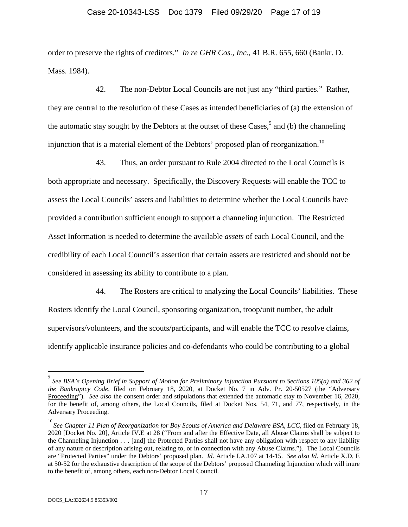#### Case 20-10343-LSS Doc 1379 Filed 09/29/20 Page 17 of 19

order to preserve the rights of creditors." *In re GHR Cos., Inc.*, 41 B.R. 655, 660 (Bankr. D. Mass. 1984).

42. The non-Debtor Local Councils are not just any "third parties." Rather, they are central to the resolution of these Cases as intended beneficiaries of (a) the extension of the automatic stay sought by the Debtors at the outset of these  $\text{Cases}$ <sup>9</sup> and (b) the channeling injunction that is a material element of the Debtors' proposed plan of reorganization.10

43. Thus, an order pursuant to Rule 2004 directed to the Local Councils is both appropriate and necessary. Specifically, the Discovery Requests will enable the TCC to assess the Local Councils' assets and liabilities to determine whether the Local Councils have provided a contribution sufficient enough to support a channeling injunction. The Restricted Asset Information is needed to determine the available *assets* of each Local Council, and the credibility of each Local Council's assertion that certain assets are restricted and should not be considered in assessing its ability to contribute to a plan.

44. The Rosters are critical to analyzing the Local Councils' liabilities. These Rosters identify the Local Council, sponsoring organization, troop/unit number, the adult supervisors/volunteers, and the scouts/participants, and will enable the TCC to resolve claims, identify applicable insurance policies and co-defendants who could be contributing to a global

 $\overline{a}$ 

<sup>9</sup> *See BSA's Opening Brief in Support of Motion for Preliminary Injunction Pursuant to Sections 105(a) and 362 of the Bankruptcy Code*, filed on February 18, 2020, at Docket No. 7 in Adv. Pr. 20-50527 (the "Adversary Proceeding"). *See also* the consent order and stipulations that extended the automatic stay to November 16, 2020, for the benefit of, among others, the Local Councils, filed at Docket Nos. 54, 71, and 77, respectively, in the Adversary Proceeding.

<sup>&</sup>lt;sup>10</sup> See Chapter 11 Plan of Reorganization for Boy Scouts of America and Delaware BSA, LCC, filed on February 18, 2020 [Docket No. 20], Article IV.E at 28 ("From and after the Effective Date, all Abuse Claims shall be subject to the Channeling Injunction . . . [and] the Protected Parties shall not have any obligation with respect to any liability of any nature or description arising out, relating to, or in connection with any Abuse Claims."). The Local Councils are "Protected Parties" under the Debtors' proposed plan. *Id*. Article I.A.107 at 14-15. *See also Id*. Article X.D, E at 50-52 for the exhaustive description of the scope of the Debtors' proposed Channeling Injunction which will inure to the benefit of, among others, each non-Debtor Local Council.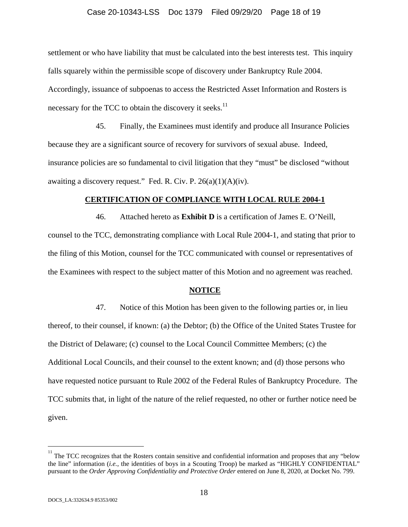#### Case 20-10343-LSS Doc 1379 Filed 09/29/20 Page 18 of 19

settlement or who have liability that must be calculated into the best interests test. This inquiry falls squarely within the permissible scope of discovery under Bankruptcy Rule 2004. Accordingly, issuance of subpoenas to access the Restricted Asset Information and Rosters is necessary for the TCC to obtain the discovery it seeks. $^{11}$ 

45. Finally, the Examinees must identify and produce all Insurance Policies because they are a significant source of recovery for survivors of sexual abuse. Indeed, insurance policies are so fundamental to civil litigation that they "must" be disclosed "without awaiting a discovery request." Fed. R. Civ. P.  $26(a)(1)(A)(iv)$ .

#### **CERTIFICATION OF COMPLIANCE WITH LOCAL RULE 2004-1**

46. Attached hereto as **Exhibit D** is a certification of James E. O'Neill, counsel to the TCC, demonstrating compliance with Local Rule 2004-1, and stating that prior to the filing of this Motion, counsel for the TCC communicated with counsel or representatives of the Examinees with respect to the subject matter of this Motion and no agreement was reached.

#### **NOTICE**

47. Notice of this Motion has been given to the following parties or, in lieu thereof, to their counsel, if known: (a) the Debtor; (b) the Office of the United States Trustee for the District of Delaware; (c) counsel to the Local Council Committee Members; (c) the Additional Local Councils, and their counsel to the extent known; and (d) those persons who have requested notice pursuant to Rule 2002 of the Federal Rules of Bankruptcy Procedure. The TCC submits that, in light of the nature of the relief requested, no other or further notice need be given.

<sup>&</sup>lt;sup>11</sup><br><sup>11</sup> The TCC recognizes that the Rosters contain sensitive and confidential information and proposes that any "below" the line" information (*i.e.*, the identities of boys in a Scouting Troop) be marked as "HIGHLY CONFIDENTIAL" pursuant to the *Order Approving Confidentiality and Protective Order* entered on June 8, 2020, at Docket No. 799.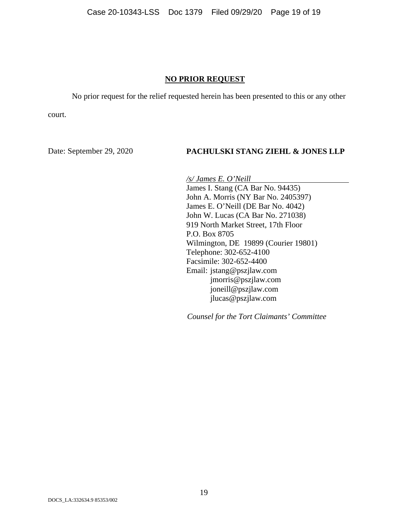#### **NO PRIOR REQUEST**

No prior request for the relief requested herein has been presented to this or any other

court.

#### Date: September 29, 2020 **PACHULSKI STANG ZIEHL & JONES LLP**

*/s/ James E. O'Neill*  James I. Stang (CA Bar No. 94435) John A. Morris (NY Bar No. 2405397) James E. O'Neill (DE Bar No. 4042) John W. Lucas (CA Bar No. 271038) 919 North Market Street, 17th Floor P.O. Box 8705 Wilmington, DE 19899 (Courier 19801) Telephone: 302-652-4100 Facsimile: 302-652-4400 Email: jstang@pszjlaw.com jmorris@pszjlaw.com joneill@pszjlaw.com jlucas@pszjlaw.com

*Counsel for the Tort Claimants' Committee*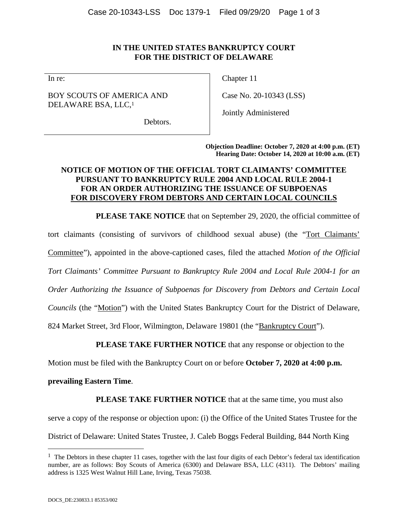# **IN THE UNITED STATES BANKRUPTCY COURT FOR THE DISTRICT OF DELAWARE**

In re:

BOY SCOUTS OF AMERICA AND DELAWARE BSA, LLC,<sup>1</sup>

Chapter 11

Case No. 20-10343 (LSS)

Jointly Administered

Debtors.

**Objection Deadline: October 7, 2020 at 4:00 p.m. (ET) Hearing Date: October 14, 2020 at 10:00 a.m. (ET)** 

# **NOTICE OF MOTION OF THE OFFICIAL TORT CLAIMANTS' COMMITTEE PURSUANT TO BANKRUPTCY RULE 2004 AND LOCAL RULE 2004-1 FOR AN ORDER AUTHORIZING THE ISSUANCE OF SUBPOENAS FOR DISCOVERY FROM DEBTORS AND CERTAIN LOCAL COUNCILS**

**PLEASE TAKE NOTICE** that on September 29, 2020, the official committee of

tort claimants (consisting of survivors of childhood sexual abuse) (the "Tort Claimants'

Committee"), appointed in the above-captioned cases, filed the attached *Motion of the Official* 

*Tort Claimants' Committee Pursuant to Bankruptcy Rule 2004 and Local Rule 2004-1 for an* 

*Order Authorizing the Issuance of Subpoenas for Discovery from Debtors and Certain Local* 

*Councils* (the "Motion") with the United States Bankruptcy Court for the District of Delaware,

824 Market Street, 3rd Floor, Wilmington, Delaware 19801 (the "Bankruptcy Court").

**PLEASE TAKE FURTHER NOTICE** that any response or objection to the

Motion must be filed with the Bankruptcy Court on or before **October 7, 2020 at 4:00 p.m.** 

### **prevailing Eastern Time**.

**PLEASE TAKE FURTHER NOTICE** that at the same time, you must also

serve a copy of the response or objection upon: (i) the Office of the United States Trustee for the

District of Delaware: United States Trustee, J. Caleb Boggs Federal Building, 844 North King

 $\overline{a}$ 

 $1$  The Debtors in these chapter 11 cases, together with the last four digits of each Debtor's federal tax identification number, are as follows: Boy Scouts of America (6300) and Delaware BSA, LLC (4311). The Debtors' mailing address is 1325 West Walnut Hill Lane, Irving, Texas 75038.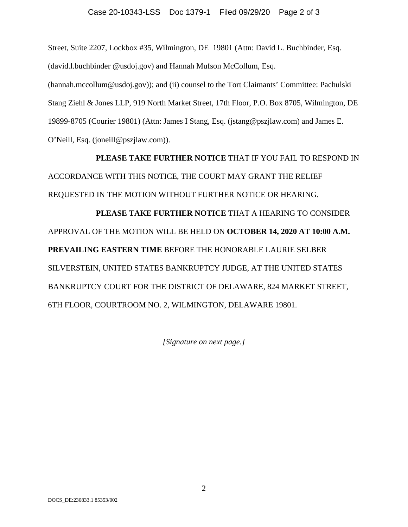Street, Suite 2207, Lockbox #35, Wilmington, DE 19801 (Attn: David L. Buchbinder, Esq. (david.l.buchbinder @usdoj.gov) and Hannah Mufson McCollum, Esq. (hannah.mccollum@usdoj.gov)); and (ii) counsel to the Tort Claimants' Committee: Pachulski Stang Ziehl & Jones LLP, 919 North Market Street, 17th Floor, P.O. Box 8705, Wilmington, DE 19899-8705 (Courier 19801) (Attn: James I Stang, Esq. (jstang@pszjlaw.com) and James E. O'Neill, Esq. (joneill@pszjlaw.com)).

**PLEASE TAKE FURTHER NOTICE** THAT IF YOU FAIL TO RESPOND IN ACCORDANCE WITH THIS NOTICE, THE COURT MAY GRANT THE RELIEF REQUESTED IN THE MOTION WITHOUT FURTHER NOTICE OR HEARING.

**PLEASE TAKE FURTHER NOTICE** THAT A HEARING TO CONSIDER APPROVAL OF THE MOTION WILL BE HELD ON **OCTOBER 14, 2020 AT 10:00 A.M. PREVAILING EASTERN TIME** BEFORE THE HONORABLE LAURIE SELBER SILVERSTEIN, UNITED STATES BANKRUPTCY JUDGE, AT THE UNITED STATES BANKRUPTCY COURT FOR THE DISTRICT OF DELAWARE, 824 MARKET STREET, 6TH FLOOR, COURTROOM NO. 2, WILMINGTON, DELAWARE 19801.

*[Signature on next page.]*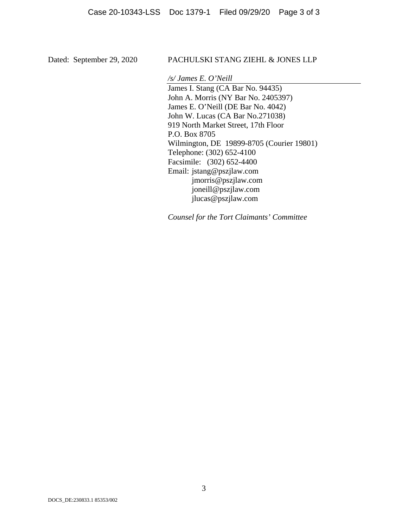# Dated: September 29, 2020 PACHULSKI STANG ZIEHL & JONES LLP

*/s/ James E. O'Neill* 

James I. Stang (CA Bar No. 94435) John A. Morris (NY Bar No. 2405397) James E. O'Neill (DE Bar No. 4042) John W. Lucas (CA Bar No.271038) 919 North Market Street, 17th Floor P.O. Box 8705 Wilmington, DE 19899-8705 (Courier 19801) Telephone: (302) 652-4100 Facsimile: (302) 652-4400 Email: jstang@pszjlaw.com jmorris@pszjlaw.com joneill@pszjlaw.com jlucas@pszjlaw.com

*Counsel for the Tort Claimants' Committee*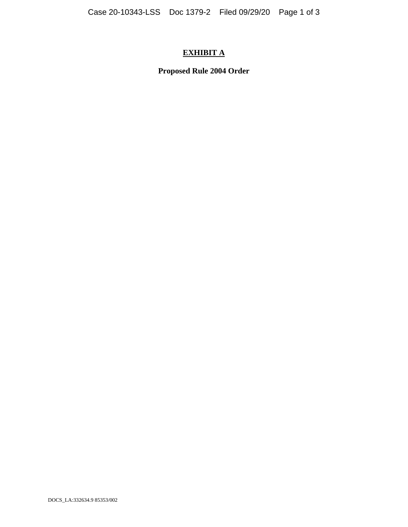# **EXHIBIT A**

**Proposed Rule 2004 Order**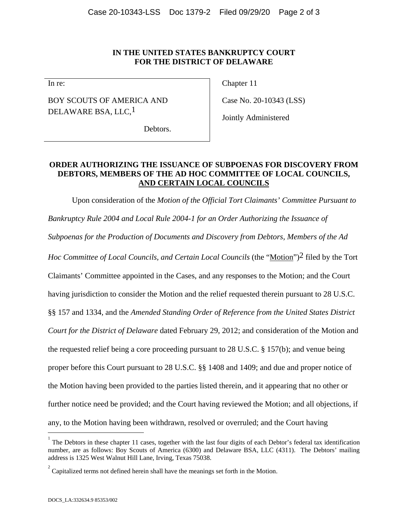#### **IN THE UNITED STATES BANKRUPTCY COURT FOR THE DISTRICT OF DELAWARE**

In re:

BOY SCOUTS OF AMERICA AND DELAWARE BSA, LLC, <sup>1</sup>

Chapter 11

Case No. 20-10343 (LSS)

Jointly Administered

Debtors.

# **ORDER AUTHORIZING THE ISSUANCE OF SUBPOENAS FOR DISCOVERY FROM DEBTORS, MEMBERS OF THE AD HOC COMMITTEE OF LOCAL COUNCILS, AND CERTAIN LOCAL COUNCILS**

Upon consideration of the *Motion of the Official Tort Claimants' Committee Pursuant to Bankruptcy Rule 2004 and Local Rule 2004-1 for an Order Authorizing the Issuance of Subpoenas for the Production of Documents and Discovery from Debtors, Members of the Ad Hoc Committee of Local Councils, and Certain Local Councils (the "Motion")<sup>2</sup> filed by the Tort* Claimants' Committee appointed in the Cases, and any responses to the Motion; and the Court having jurisdiction to consider the Motion and the relief requested therein pursuant to 28 U.S.C. §§ 157 and 1334, and the *Amended Standing Order of Reference from the United States District Court for the District of Delaware* dated February 29, 2012; and consideration of the Motion and the requested relief being a core proceeding pursuant to 28 U.S.C. § 157(b); and venue being proper before this Court pursuant to 28 U.S.C. §§ 1408 and 1409; and due and proper notice of the Motion having been provided to the parties listed therein, and it appearing that no other or further notice need be provided; and the Court having reviewed the Motion; and all objections, if any, to the Motion having been withdrawn, resolved or overruled; and the Court having  $\overline{a}$ 

 $1$  The Debtors in these chapter 11 cases, together with the last four digits of each Debtor's federal tax identification number, are as follows: Boy Scouts of America (6300) and Delaware BSA, LLC (4311). The Debtors' mailing address is 1325 West Walnut Hill Lane, Irving, Texas 75038.

 $2^2$  Capitalized terms not defined herein shall have the meanings set forth in the Motion.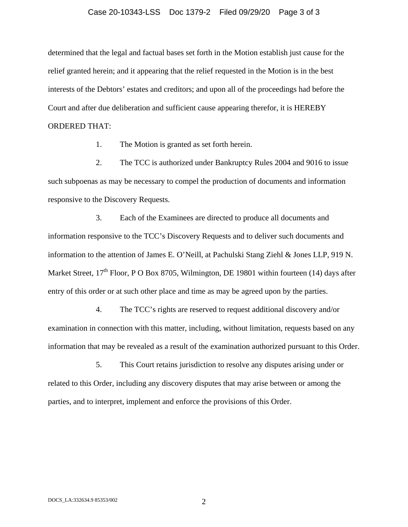#### Case 20-10343-LSS Doc 1379-2 Filed 09/29/20 Page 3 of 3

determined that the legal and factual bases set forth in the Motion establish just cause for the relief granted herein; and it appearing that the relief requested in the Motion is in the best interests of the Debtors' estates and creditors; and upon all of the proceedings had before the Court and after due deliberation and sufficient cause appearing therefor, it is HEREBY ORDERED THAT:

1. The Motion is granted as set forth herein.

2. The TCC is authorized under Bankruptcy Rules 2004 and 9016 to issue such subpoenas as may be necessary to compel the production of documents and information responsive to the Discovery Requests.

3. Each of the Examinees are directed to produce all documents and information responsive to the TCC's Discovery Requests and to deliver such documents and information to the attention of James E. O'Neill, at Pachulski Stang Ziehl & Jones LLP, 919 N. Market Street,  $17<sup>th</sup>$  Floor, P O Box 8705, Wilmington, DE 19801 within fourteen (14) days after entry of this order or at such other place and time as may be agreed upon by the parties.

4. The TCC's rights are reserved to request additional discovery and/or examination in connection with this matter, including, without limitation, requests based on any information that may be revealed as a result of the examination authorized pursuant to this Order.

5. This Court retains jurisdiction to resolve any disputes arising under or related to this Order, including any discovery disputes that may arise between or among the parties, and to interpret, implement and enforce the provisions of this Order.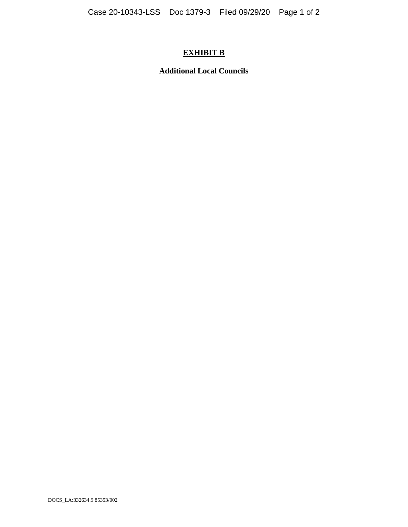# **EXHIBIT B**

**Additional Local Councils**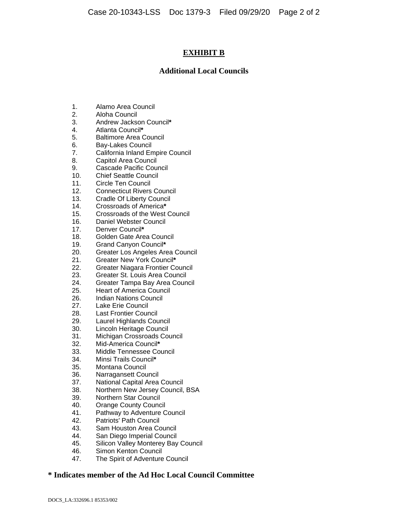# **EXHIBIT B**

#### **Additional Local Councils**

- 1. Alamo Area Council
- 2. Aloha Council
- 3. Andrew Jackson Council**\***
- 4. Atlanta Council**\***
- 5. Baltimore Area Council
- 6. Bay-Lakes Council
- 7. California Inland Empire Council
- 8. Capitol Area Council
- 9. Cascade Pacific Council
- 10. Chief Seattle Council
- 11. Circle Ten Council
- 12. Connecticut Rivers Council
- 13. Cradle Of Liberty Council
- 14. Crossroads of America**\***
- 15. Crossroads of the West Council
- 16. Daniel Webster Council
- 17. Denver Council**\***
- 18. Golden Gate Area Council
- 19. Grand Canyon Council**\***
- 20. Greater Los Angeles Area Council
- 21. Greater New York Council**\***
- 22. Greater Niagara Frontier Council
- 23. Greater St. Louis Area Council
- 24. Greater Tampa Bay Area Council
- 25. Heart of America Council
- 26. Indian Nations Council
- 27. Lake Erie Council
- 28. Last Frontier Council
- 29. Laurel Highlands Council
- 30. Lincoln Heritage Council
- 31. Michigan Crossroads Council
- 32. Mid-America Council**\***
- 33. Middle Tennessee Council
- 34. Minsi Trails Council**\***
- 35. Montana Council
- 36. Narragansett Council
- 37. National Capital Area Council
- 38. Northern New Jersey Council, BSA
- 39. Northern Star Council
- 40. Orange County Council
- 41. Pathway to Adventure Council
- 42. Patriots' Path Council
- 43. Sam Houston Area Council
- 44. San Diego Imperial Council
- 45. Silicon Valley Monterey Bay Council
- 46. Simon Kenton Council
- 47. The Spirit of Adventure Council

### **\* Indicates member of the Ad Hoc Local Council Committee**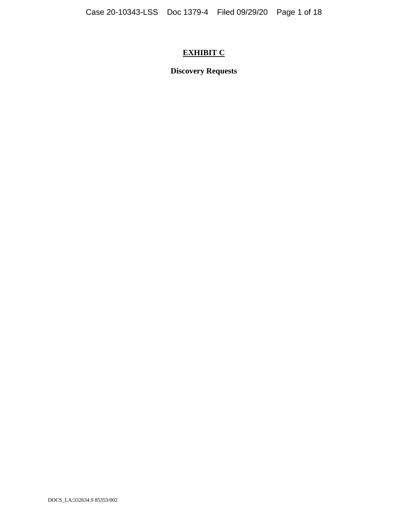# **EXHIBIT C**

**Discovery Requests**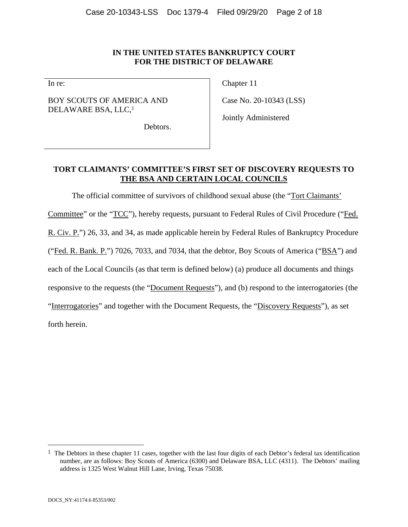#### **IN THE UNITED STATES BANKRUPTCY COURT FOR THE DISTRICT OF DELAWARE**

In re:

BOY SCOUTS OF AMERICA AND DELAWARE BSA, LLC,1

Chapter 11

Case No. 20-10343 (LSS)

Jointly Administered

Debtors.

# **TORT CLAIMANTS' COMMITTEE'S FIRST SET OF DISCOVERY REQUESTS TO THE BSA AND CERTAIN LOCAL COUNCILS**

The official committee of survivors of childhood sexual abuse (the "Tort Claimants' Committee" or the "TCC"), hereby requests, pursuant to Federal Rules of Civil Procedure ("Fed. R. Civ. P.") 26, 33, and 34, as made applicable herein by Federal Rules of Bankruptcy Procedure ("Fed. R. Bank. P.") 7026, 7033, and 7034, that the debtor, Boy Scouts of America ("BSA") and each of the Local Councils (as that term is defined below) (a) produce all documents and things responsive to the requests (the "Document Requests"), and (b) respond to the interrogatories (the "Interrogatories" and together with the Document Requests, the "Discovery Requests"), as set forth herein.

 $\overline{a}$ 

<sup>&</sup>lt;sup>1</sup> The Debtors in these chapter 11 cases, together with the last four digits of each Debtor's federal tax identification number, are as follows: Boy Scouts of America (6300) and Delaware BSA, LLC (4311). The Debtors' mailing address is 1325 West Walnut Hill Lane, Irving, Texas 75038.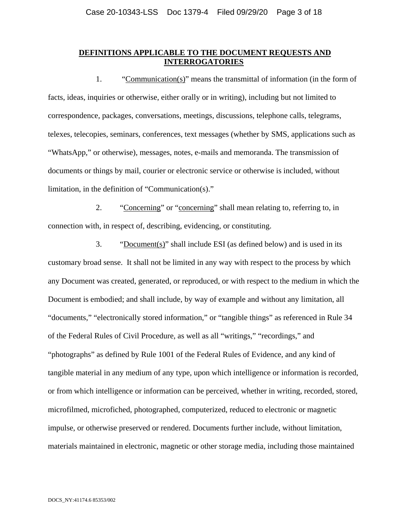#### **DEFINITIONS APPLICABLE TO THE DOCUMENT REQUESTS AND INTERROGATORIES**

1. "Communication(s)" means the transmittal of information (in the form of facts, ideas, inquiries or otherwise, either orally or in writing), including but not limited to correspondence, packages, conversations, meetings, discussions, telephone calls, telegrams, telexes, telecopies, seminars, conferences, text messages (whether by SMS, applications such as "WhatsApp," or otherwise), messages, notes, e-mails and memoranda. The transmission of documents or things by mail, courier or electronic service or otherwise is included, without limitation, in the definition of "Communication(s)."

2. "Concerning" or "concerning" shall mean relating to, referring to, in connection with, in respect of, describing, evidencing, or constituting.

3. "Document(s)" shall include ESI (as defined below) and is used in its customary broad sense. It shall not be limited in any way with respect to the process by which any Document was created, generated, or reproduced, or with respect to the medium in which the Document is embodied; and shall include, by way of example and without any limitation, all "documents," "electronically stored information," or "tangible things" as referenced in Rule 34 of the Federal Rules of Civil Procedure, as well as all "writings," "recordings," and "photographs" as defined by Rule 1001 of the Federal Rules of Evidence, and any kind of tangible material in any medium of any type, upon which intelligence or information is recorded, or from which intelligence or information can be perceived, whether in writing, recorded, stored, microfilmed, microfiched, photographed, computerized, reduced to electronic or magnetic impulse, or otherwise preserved or rendered. Documents further include, without limitation, materials maintained in electronic, magnetic or other storage media, including those maintained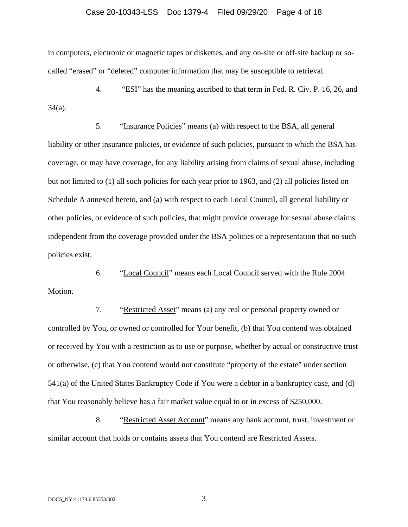#### Case 20-10343-LSS Doc 1379-4 Filed 09/29/20 Page 4 of 18

in computers, electronic or magnetic tapes or diskettes, and any on-site or off-site backup or socalled "erased" or "deleted" computer information that may be susceptible to retrieval.

4. "ESI" has the meaning ascribed to that term in Fed. R. Civ. P. 16, 26, and 34(a).

5. "Insurance Policies" means (a) with respect to the BSA, all general liability or other insurance policies, or evidence of such policies, pursuant to which the BSA has coverage, or may have coverage, for any liability arising from claims of sexual abuse, including but not limited to (1) all such policies for each year prior to 1963, and (2) all policies listed on Schedule A annexed hereto, and (a) with respect to each Local Council, all general liability or other policies, or evidence of such policies, that might provide coverage for sexual abuse claims independent from the coverage provided under the BSA policies or a representation that no such policies exist.

6. "Local Council" means each Local Council served with the Rule 2004 Motion.

7. "Restricted Asset" means (a) any real or personal property owned or controlled by You, or owned or controlled for Your benefit, (b) that You contend was obtained or received by You with a restriction as to use or purpose, whether by actual or constructive trust or otherwise, (c) that You contend would not constitute "property of the estate" under section 541(a) of the United States Bankruptcy Code if You were a debtor in a bankruptcy case, and (d) that You reasonably believe has a fair market value equal to or in excess of \$250,000.

8. "Restricted Asset Account" means any bank account, trust, investment or similar account that holds or contains assets that You contend are Restricted Assets.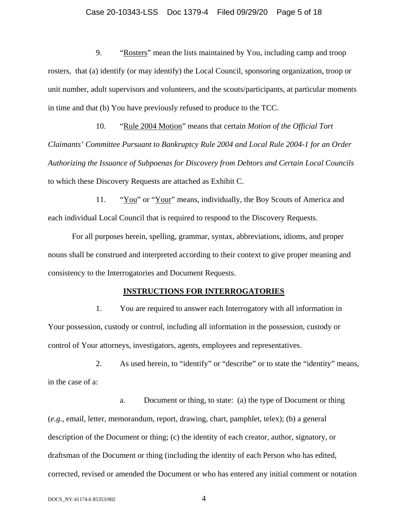#### Case 20-10343-LSS Doc 1379-4 Filed 09/29/20 Page 5 of 18

9. "Rosters" mean the lists maintained by You, including camp and troop rosters, that (a) identify (or may identify) the Local Council, sponsoring organization, troop or unit number, adult supervisors and volunteers, and the scouts/participants, at particular moments in time and that (b) You have previously refused to produce to the TCC.

10. "Rule 2004 Motion" means that certain *Motion of the Official Tort Claimants' Committee Pursuant to Bankruptcy Rule 2004 and Local Rule 2004-1 for an Order Authorizing the Issuance of Subpoenas for Discovery from Debtors and Certain Local Councils* to which these Discovery Requests are attached as Exhibit C.

11. "You" or "Your" means, individually, the Boy Scouts of America and each individual Local Council that is required to respond to the Discovery Requests.

For all purposes herein, spelling, grammar, syntax, abbreviations, idioms, and proper nouns shall be construed and interpreted according to their context to give proper meaning and consistency to the Interrogatories and Document Requests.

#### **INSTRUCTIONS FOR INTERROGATORIES**

1. You are required to answer each Interrogatory with all information in Your possession, custody or control, including all information in the possession, custody or control of Your attorneys, investigators, agents, employees and representatives.

2. As used herein, to "identify" or "describe" or to state the "identity" means, in the case of a:

a. Document or thing, to state: (a) the type of Document or thing (*e.g.*, email, letter, memorandum, report, drawing, chart, pamphlet, telex); (b) a general description of the Document or thing; (c) the identity of each creator, author, signatory, or draftsman of the Document or thing (including the identity of each Person who has edited, corrected, revised or amended the Document or who has entered any initial comment or notation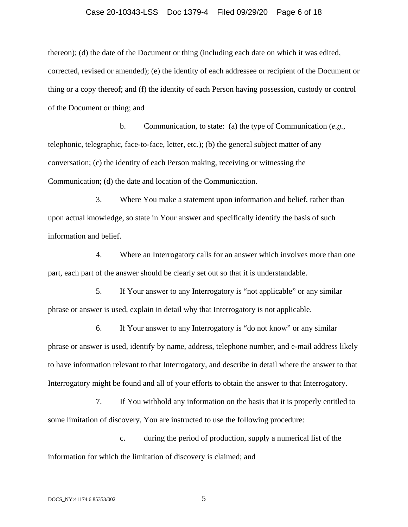#### Case 20-10343-LSS Doc 1379-4 Filed 09/29/20 Page 6 of 18

thereon); (d) the date of the Document or thing (including each date on which it was edited, corrected, revised or amended); (e) the identity of each addressee or recipient of the Document or thing or a copy thereof; and (f) the identity of each Person having possession, custody or control of the Document or thing; and

b. Communication, to state: (a) the type of Communication (*e.g.*, telephonic, telegraphic, face-to-face, letter, etc.); (b) the general subject matter of any conversation; (c) the identity of each Person making, receiving or witnessing the Communication; (d) the date and location of the Communication.

3. Where You make a statement upon information and belief, rather than upon actual knowledge, so state in Your answer and specifically identify the basis of such information and belief.

4. Where an Interrogatory calls for an answer which involves more than one part, each part of the answer should be clearly set out so that it is understandable.

5. If Your answer to any Interrogatory is "not applicable" or any similar phrase or answer is used, explain in detail why that Interrogatory is not applicable.

6. If Your answer to any Interrogatory is "do not know" or any similar phrase or answer is used, identify by name, address, telephone number, and e-mail address likely to have information relevant to that Interrogatory, and describe in detail where the answer to that Interrogatory might be found and all of your efforts to obtain the answer to that Interrogatory.

7. If You withhold any information on the basis that it is properly entitled to some limitation of discovery, You are instructed to use the following procedure:

c. during the period of production, supply a numerical list of the information for which the limitation of discovery is claimed; and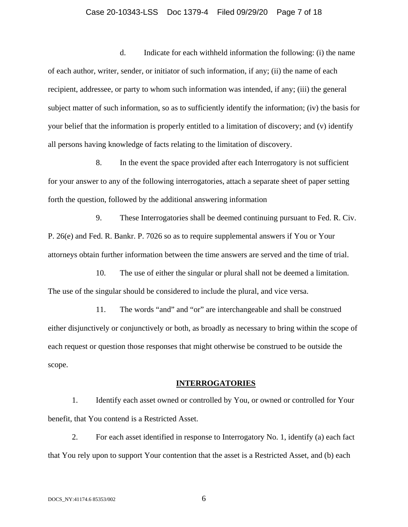#### Case 20-10343-LSS Doc 1379-4 Filed 09/29/20 Page 7 of 18

d. Indicate for each withheld information the following: (i) the name of each author, writer, sender, or initiator of such information, if any; (ii) the name of each recipient, addressee, or party to whom such information was intended, if any; (iii) the general subject matter of such information, so as to sufficiently identify the information; (iv) the basis for your belief that the information is properly entitled to a limitation of discovery; and (v) identify all persons having knowledge of facts relating to the limitation of discovery.

8. In the event the space provided after each Interrogatory is not sufficient for your answer to any of the following interrogatories, attach a separate sheet of paper setting forth the question, followed by the additional answering information

9. These Interrogatories shall be deemed continuing pursuant to Fed. R. Civ. P. 26(e) and Fed. R. Bankr. P. 7026 so as to require supplemental answers if You or Your attorneys obtain further information between the time answers are served and the time of trial.

10. The use of either the singular or plural shall not be deemed a limitation. The use of the singular should be considered to include the plural, and vice versa.

11. The words "and" and "or" are interchangeable and shall be construed either disjunctively or conjunctively or both, as broadly as necessary to bring within the scope of each request or question those responses that might otherwise be construed to be outside the scope.

#### **INTERROGATORIES**

1. Identify each asset owned or controlled by You, or owned or controlled for Your benefit, that You contend is a Restricted Asset.

2. For each asset identified in response to Interrogatory No. 1, identify (a) each fact that You rely upon to support Your contention that the asset is a Restricted Asset, and (b) each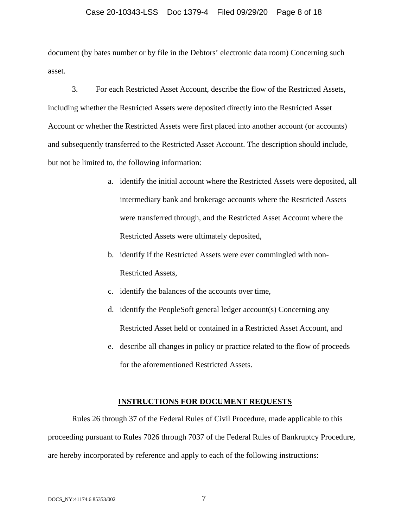#### Case 20-10343-LSS Doc 1379-4 Filed 09/29/20 Page 8 of 18

document (by bates number or by file in the Debtors' electronic data room) Concerning such asset.

3. For each Restricted Asset Account, describe the flow of the Restricted Assets, including whether the Restricted Assets were deposited directly into the Restricted Asset Account or whether the Restricted Assets were first placed into another account (or accounts) and subsequently transferred to the Restricted Asset Account. The description should include, but not be limited to, the following information:

- a. identify the initial account where the Restricted Assets were deposited, all intermediary bank and brokerage accounts where the Restricted Assets were transferred through, and the Restricted Asset Account where the Restricted Assets were ultimately deposited,
- b. identify if the Restricted Assets were ever commingled with non-Restricted Assets,
- c. identify the balances of the accounts over time,
- d. identify the PeopleSoft general ledger account(s) Concerning any Restricted Asset held or contained in a Restricted Asset Account, and
- e. describe all changes in policy or practice related to the flow of proceeds for the aforementioned Restricted Assets.

#### **INSTRUCTIONS FOR DOCUMENT REQUESTS**

Rules 26 through 37 of the Federal Rules of Civil Procedure, made applicable to this proceeding pursuant to Rules 7026 through 7037 of the Federal Rules of Bankruptcy Procedure, are hereby incorporated by reference and apply to each of the following instructions: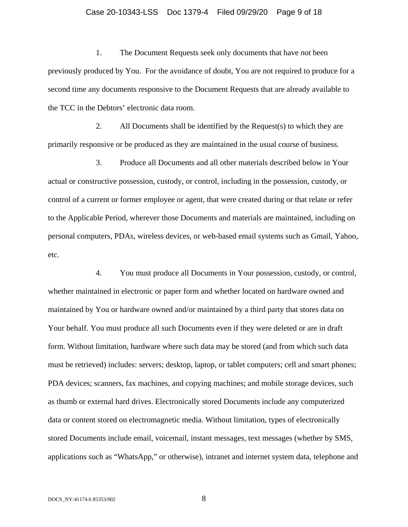#### Case 20-10343-LSS Doc 1379-4 Filed 09/29/20 Page 9 of 18

1. The Document Requests seek only documents that have *not* been previously produced by You. For the avoidance of doubt, You are not required to produce for a second time any documents responsive to the Document Requests that are already available to the TCC in the Debtors' electronic data room.

2. All Documents shall be identified by the Request(s) to which they are primarily responsive or be produced as they are maintained in the usual course of business.

3. Produce all Documents and all other materials described below in Your actual or constructive possession, custody, or control, including in the possession, custody, or control of a current or former employee or agent, that were created during or that relate or refer to the Applicable Period, wherever those Documents and materials are maintained, including on personal computers, PDAs, wireless devices, or web-based email systems such as Gmail, Yahoo, etc.

4. You must produce all Documents in Your possession, custody, or control, whether maintained in electronic or paper form and whether located on hardware owned and maintained by You or hardware owned and/or maintained by a third party that stores data on Your behalf. You must produce all such Documents even if they were deleted or are in draft form. Without limitation, hardware where such data may be stored (and from which such data must be retrieved) includes: servers; desktop, laptop, or tablet computers; cell and smart phones; PDA devices; scanners, fax machines, and copying machines; and mobile storage devices, such as thumb or external hard drives. Electronically stored Documents include any computerized data or content stored on electromagnetic media. Without limitation, types of electronically stored Documents include email, voicemail, instant messages, text messages (whether by SMS, applications such as "WhatsApp," or otherwise), intranet and internet system data, telephone and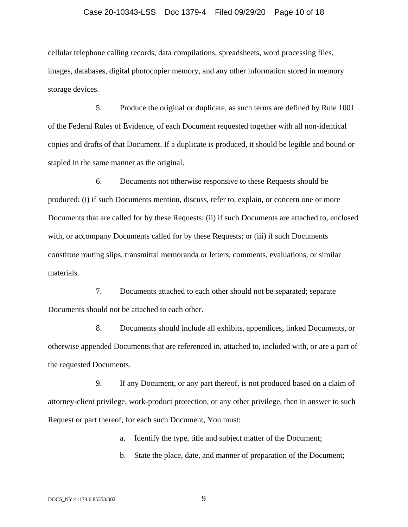#### Case 20-10343-LSS Doc 1379-4 Filed 09/29/20 Page 10 of 18

cellular telephone calling records, data compilations, spreadsheets, word processing files, images, databases, digital photocopier memory, and any other information stored in memory storage devices.

5. Produce the original or duplicate, as such terms are defined by Rule 1001 of the Federal Rules of Evidence, of each Document requested together with all non-identical copies and drafts of that Document. If a duplicate is produced, it should be legible and bound or stapled in the same manner as the original.

6. Documents not otherwise responsive to these Requests should be produced: (i) if such Documents mention, discuss, refer to, explain, or concern one or more Documents that are called for by these Requests; (ii) if such Documents are attached to, enclosed with, or accompany Documents called for by these Requests; or (iii) if such Documents constitute routing slips, transmittal memoranda or letters, comments, evaluations, or similar materials.

7. Documents attached to each other should not be separated; separate Documents should not be attached to each other.

8. Documents should include all exhibits, appendices, linked Documents, or otherwise appended Documents that are referenced in, attached to, included with, or are a part of the requested Documents.

9. If any Document, or any part thereof, is not produced based on a claim of attorney-client privilege, work-product protection, or any other privilege, then in answer to such Request or part thereof, for each such Document, You must:

a. Identify the type, title and subject matter of the Document;

b. State the place, date, and manner of preparation of the Document;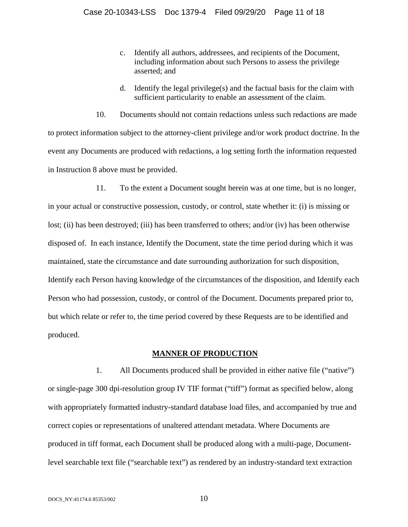- c. Identify all authors, addressees, and recipients of the Document, including information about such Persons to assess the privilege asserted; and
- d. Identify the legal privilege(s) and the factual basis for the claim with sufficient particularity to enable an assessment of the claim.

10. Documents should not contain redactions unless such redactions are made to protect information subject to the attorney-client privilege and/or work product doctrine. In the event any Documents are produced with redactions, a log setting forth the information requested in Instruction 8 above must be provided.

11. To the extent a Document sought herein was at one time, but is no longer, in your actual or constructive possession, custody, or control, state whether it: (i) is missing or lost; (ii) has been destroyed; (iii) has been transferred to others; and/or (iv) has been otherwise disposed of. In each instance, Identify the Document, state the time period during which it was maintained, state the circumstance and date surrounding authorization for such disposition, Identify each Person having knowledge of the circumstances of the disposition, and Identify each Person who had possession, custody, or control of the Document. Documents prepared prior to, but which relate or refer to, the time period covered by these Requests are to be identified and produced.

#### **MANNER OF PRODUCTION**

1. All Documents produced shall be provided in either native file ("native") or single-page 300 dpi-resolution group IV TIF format ("tiff") format as specified below, along with appropriately formatted industry-standard database load files, and accompanied by true and correct copies or representations of unaltered attendant metadata. Where Documents are produced in tiff format, each Document shall be produced along with a multi-page, Documentlevel searchable text file ("searchable text") as rendered by an industry-standard text extraction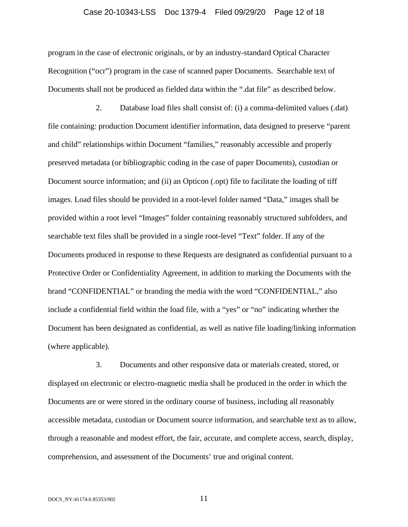#### Case 20-10343-LSS Doc 1379-4 Filed 09/29/20 Page 12 of 18

program in the case of electronic originals, or by an industry-standard Optical Character Recognition ("ocr") program in the case of scanned paper Documents. Searchable text of Documents shall not be produced as fielded data within the ".dat file" as described below.

2. Database load files shall consist of: (i) a comma-delimited values (.dat) file containing: production Document identifier information, data designed to preserve "parent and child" relationships within Document "families," reasonably accessible and properly preserved metadata (or bibliographic coding in the case of paper Documents), custodian or Document source information; and (ii) an Opticon (.opt) file to facilitate the loading of tiff images. Load files should be provided in a root-level folder named "Data," images shall be provided within a root level "Images" folder containing reasonably structured subfolders, and searchable text files shall be provided in a single root-level "Text" folder. If any of the Documents produced in response to these Requests are designated as confidential pursuant to a Protective Order or Confidentiality Agreement, in addition to marking the Documents with the brand "CONFIDENTIAL" or branding the media with the word "CONFIDENTIAL," also include a confidential field within the load file, with a "yes" or "no" indicating whether the Document has been designated as confidential, as well as native file loading/linking information (where applicable).

3. Documents and other responsive data or materials created, stored, or displayed on electronic or electro-magnetic media shall be produced in the order in which the Documents are or were stored in the ordinary course of business, including all reasonably accessible metadata, custodian or Document source information, and searchable text as to allow, through a reasonable and modest effort, the fair, accurate, and complete access, search, display, comprehension, and assessment of the Documents' true and original content.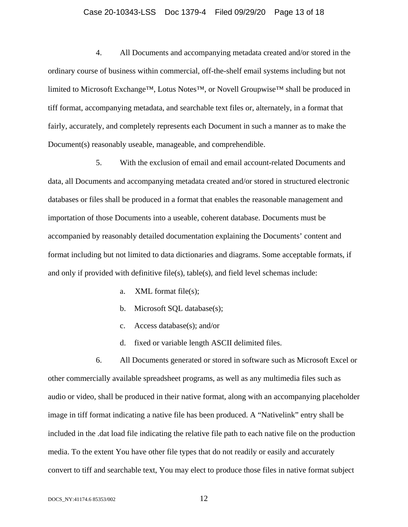#### Case 20-10343-LSS Doc 1379-4 Filed 09/29/20 Page 13 of 18

4. All Documents and accompanying metadata created and/or stored in the ordinary course of business within commercial, off-the-shelf email systems including but not limited to Microsoft Exchange™, Lotus Notes™, or Novell Groupwise™ shall be produced in tiff format, accompanying metadata, and searchable text files or, alternately, in a format that fairly, accurately, and completely represents each Document in such a manner as to make the Document(s) reasonably useable, manageable, and comprehendible.

5. With the exclusion of email and email account-related Documents and data, all Documents and accompanying metadata created and/or stored in structured electronic databases or files shall be produced in a format that enables the reasonable management and importation of those Documents into a useable, coherent database. Documents must be accompanied by reasonably detailed documentation explaining the Documents' content and format including but not limited to data dictionaries and diagrams. Some acceptable formats, if and only if provided with definitive file(s), table(s), and field level schemas include:

- a. XML format file(s);
- b. Microsoft SQL database(s);
- c. Access database(s); and/or
- d. fixed or variable length ASCII delimited files.

6. All Documents generated or stored in software such as Microsoft Excel or other commercially available spreadsheet programs, as well as any multimedia files such as audio or video, shall be produced in their native format, along with an accompanying placeholder image in tiff format indicating a native file has been produced. A "Nativelink" entry shall be included in the .dat load file indicating the relative file path to each native file on the production media. To the extent You have other file types that do not readily or easily and accurately convert to tiff and searchable text, You may elect to produce those files in native format subject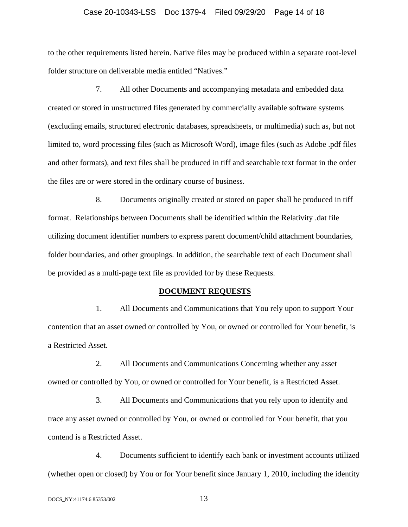#### Case 20-10343-LSS Doc 1379-4 Filed 09/29/20 Page 14 of 18

to the other requirements listed herein. Native files may be produced within a separate root-level folder structure on deliverable media entitled "Natives."

7. All other Documents and accompanying metadata and embedded data created or stored in unstructured files generated by commercially available software systems (excluding emails, structured electronic databases, spreadsheets, or multimedia) such as, but not limited to, word processing files (such as Microsoft Word), image files (such as Adobe .pdf files and other formats), and text files shall be produced in tiff and searchable text format in the order the files are or were stored in the ordinary course of business.

8. Documents originally created or stored on paper shall be produced in tiff format. Relationships between Documents shall be identified within the Relativity .dat file utilizing document identifier numbers to express parent document/child attachment boundaries, folder boundaries, and other groupings. In addition, the searchable text of each Document shall be provided as a multi-page text file as provided for by these Requests.

#### **DOCUMENT REQUESTS**

1. All Documents and Communications that You rely upon to support Your contention that an asset owned or controlled by You, or owned or controlled for Your benefit, is a Restricted Asset.

2. All Documents and Communications Concerning whether any asset owned or controlled by You, or owned or controlled for Your benefit, is a Restricted Asset.

3. All Documents and Communications that you rely upon to identify and trace any asset owned or controlled by You, or owned or controlled for Your benefit, that you contend is a Restricted Asset.

4. Documents sufficient to identify each bank or investment accounts utilized (whether open or closed) by You or for Your benefit since January 1, 2010, including the identity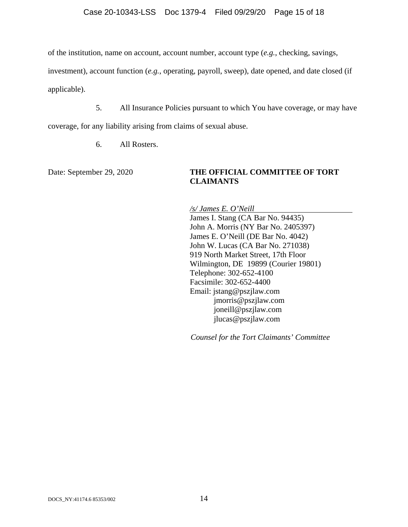of the institution, name on account, account number, account type (*e.g.*, checking, savings,

investment), account function (*e.g.*, operating, payroll, sweep), date opened, and date closed (if

applicable).

5. All Insurance Policies pursuant to which You have coverage, or may have

coverage, for any liability arising from claims of sexual abuse.

6. All Rosters.

### Date: September 29, 2020 **THE OFFICIAL COMMITTEE OF TORT CLAIMANTS**

*/s/ James E. O'Neill*  James I. Stang (CA Bar No. 94435) John A. Morris (NY Bar No. 2405397) James E. O'Neill (DE Bar No. 4042) John W. Lucas (CA Bar No. 271038) 919 North Market Street, 17th Floor Wilmington, DE 19899 (Courier 19801) Telephone: 302-652-4100 Facsimile: 302-652-4400 Email: jstang@pszjlaw.com jmorris@pszjlaw.com joneill@pszjlaw.com jlucas@pszjlaw.com

*Counsel for the Tort Claimants' Committee*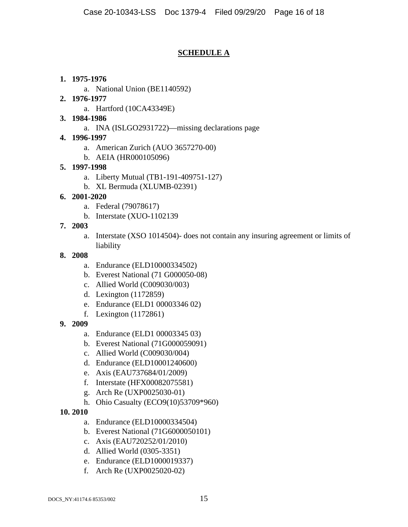# **SCHEDULE A**

# **1. 1975-1976**

a. National Union (BE1140592)

# **2. 1976-1977**

- a. Hartford (10CA43349E)
- **3. 1984-1986** 
	- a. INA (ISLGO2931722)—missing declarations page
- **4. 1996-1997** 
	- a. American Zurich (AUO 3657270-00)
	- b. AEIA (HR000105096)

# **5. 1997-1998**

- a. Liberty Mutual (TB1-191-409751-127)
- b. XL Bermuda (XLUMB-02391)

# **6. 2001-2020**

- a. Federal (79078617)
- b. Interstate (XUO-1102139
- **7. 2003** 
	- a. Interstate (XSO 1014504)- does not contain any insuring agreement or limits of liability

### **8. 2008**

- a. Endurance (ELD10000334502)
- b. Everest National (71 G000050-08)
- c. Allied World (C009030/003)
- d. Lexington (1172859)
- e. Endurance (ELD1 00003346 02)
- f. Lexington (1172861)
- **9. 2009** 
	- a. Endurance (ELD1 00003345 03)
	- b. Everest National (71G000059091)
	- c. Allied World (C009030/004)
	- d. Endurance (ELD10001240600)
	- e. Axis (EAU737684/01/2009)
	- f. Interstate (HFX00082075581)
	- g. Arch Re (UXP0025030-01)
	- h. Ohio Casualty (ECO9(10)53709\*960)

# **10. 2010**

- a. Endurance (ELD10000334504)
- b. Everest National (71G6000050101)
- c. Axis (EAU720252/01/2010)
- d. Allied World (0305-3351)
- e. Endurance (ELD1000019337)
- f. Arch Re (UXP0025020-02)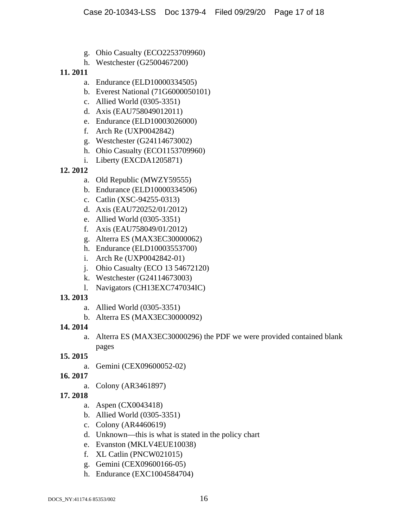- g. Ohio Casualty (ECO2253709960)
- h. Westchester (G2500467200)

# **11. 2011**

- a. Endurance (ELD10000334505)
- b. Everest National (71G6000050101)
- c. Allied World (0305-3351)
- d. Axis (EAU758049012011)
- e. Endurance (ELD10003026000)
- f. Arch Re (UXP0042842)
- g. Westchester (G24114673002)
- h. Ohio Casualty (ECO1153709960)
- i. Liberty (EXCDA1205871)

# **12. 2012**

- a. Old Republic (MWZY59555)
- b. Endurance (ELD10000334506)
- c. Catlin (XSC-94255-0313)
- d. Axis (EAU720252/01/2012)
- e. Allied World (0305-3351)
- f. Axis (EAU758049/01/2012)
- g. Alterra ES (MAX3EC30000062)
- h. Endurance (ELD10003553700)
- i. Arch Re (UXP0042842-01)
- j. Ohio Casualty (ECO 13 54672120)
- k. Westchester (G24114673003)
- l. Navigators (CH13EXC747034IC)

# **13. 2013**

- a. Allied World (0305-3351)
- b. Alterra ES (MAX3EC30000092)

# **14. 2014**

a. Alterra ES (MAX3EC30000296) the PDF we were provided contained blank pages

# **15. 2015**

- a. Gemini (CEX09600052-02)
- **16. 2017** 
	- a. Colony (AR3461897)
- **17. 2018** 
	- a. Aspen (CX0043418)
	- b. Allied World (0305-3351)
	- c. Colony (AR4460619)
	- d. Unknown—this is what is stated in the policy chart
	- e. Evanston (MKLV4EUE10038)
	- f. XL Catlin (PNCW021015)
	- g. Gemini (CEX09600166-05)
	- h. Endurance (EXC1004584704)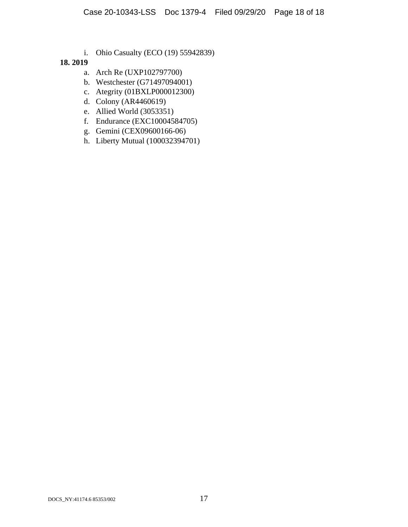i. Ohio Casualty (ECO (19) 55942839)

# **18. 2019**

- a. Arch Re (UXP102797700)
- b. Westchester (G71497094001)
- c. Ategrity (01BXLP000012300)
- d. Colony (AR4460619)
- e. Allied World (3053351)
- f. Endurance (EXC10004584705)
- g. Gemini (CEX09600166-06)
- h. Liberty Mutual (100032394701)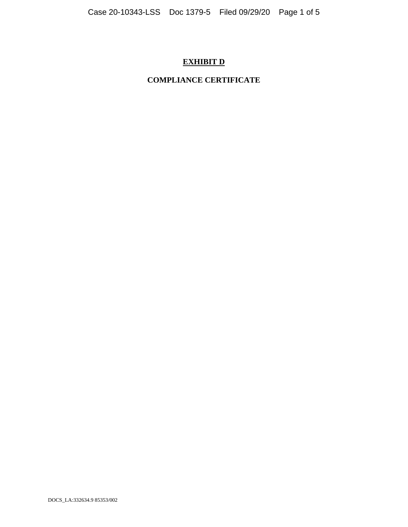# **EXHIBIT D**

# **COMPLIANCE CERTIFICATE**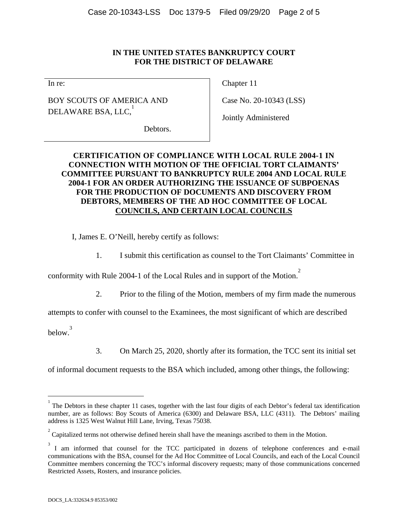### **IN THE UNITED STATES BANKRUPTCY COURT FOR THE DISTRICT OF DELAWARE**

In re:

BOY SCOUTS OF AMERICA AND DELAWARE BSA, LLC, $^\mathrm{1}$ 

Chapter 11

Case No. 20-10343 (LSS)

Jointly Administered

Debtors.

# **CERTIFICATION OF COMPLIANCE WITH LOCAL RULE 2004-1 IN CONNECTION WITH MOTION OF THE OFFICIAL TORT CLAIMANTS' COMMITTEE PURSUANT TO BANKRUPTCY RULE 2004 AND LOCAL RULE 2004-1 FOR AN ORDER AUTHORIZING THE ISSUANCE OF SUBPOENAS FOR THE PRODUCTION OF DOCUMENTS AND DISCOVERY FROM DEBTORS, MEMBERS OF THE AD HOC COMMITTEE OF LOCAL COUNCILS, AND CERTAIN LOCAL COUNCILS**

I, James E. O'Neill, hereby certify as follows:

1. I submit this certification as counsel to the Tort Claimants' Committee in

conformity with Rule 2004-1 of the Local Rules and in support of the Motion. 2

2. Prior to the filing of the Motion, members of my firm made the numerous

attempts to confer with counsel to the Examinees, the most significant of which are described

below. 3

1

3. On March 25, 2020, shortly after its formation, the TCC sent its initial set

of informal document requests to the BSA which included, among other things, the following:

<sup>1</sup> The Debtors in these chapter 11 cases, together with the last four digits of each Debtor's federal tax identification number, are as follows: Boy Scouts of America (6300) and Delaware BSA, LLC (4311). The Debtors' mailing address is 1325 West Walnut Hill Lane, Irving, Texas 75038.

 $2^{2}$  Capitalized terms not otherwise defined herein shall have the meanings ascribed to them in the Motion.

 $3 \text{ I}$  am informed that counsel for the TCC participated in dozens of telephone conferences and e-mail communications with the BSA, counsel for the Ad Hoc Committee of Local Councils, and each of the Local Council Committee members concerning the TCC's informal discovery requests; many of those communications concerned Restricted Assets, Rosters, and insurance policies.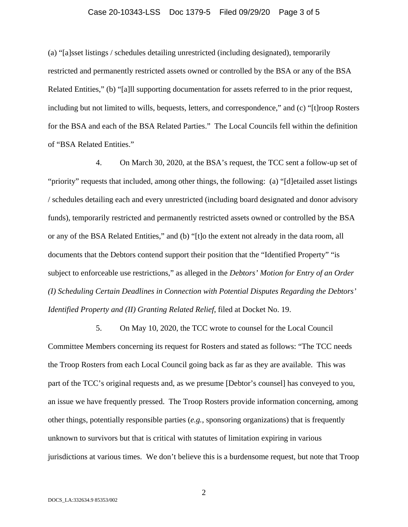#### Case 20-10343-LSS Doc 1379-5 Filed 09/29/20 Page 3 of 5

(a) "[a]sset listings / schedules detailing unrestricted (including designated), temporarily restricted and permanently restricted assets owned or controlled by the BSA or any of the BSA Related Entities," (b) "[a]ll supporting documentation for assets referred to in the prior request, including but not limited to wills, bequests, letters, and correspondence," and (c) "[t]roop Rosters for the BSA and each of the BSA Related Parties." The Local Councils fell within the definition of "BSA Related Entities."

4. On March 30, 2020, at the BSA's request, the TCC sent a follow-up set of "priority" requests that included, among other things, the following: (a) "[d]etailed asset listings / schedules detailing each and every unrestricted (including board designated and donor advisory funds), temporarily restricted and permanently restricted assets owned or controlled by the BSA or any of the BSA Related Entities," and (b) "[t]o the extent not already in the data room, all documents that the Debtors contend support their position that the "Identified Property" "is subject to enforceable use restrictions," as alleged in the *Debtors' Motion for Entry of an Order (I) Scheduling Certain Deadlines in Connection with Potential Disputes Regarding the Debtors' Identified Property and (II) Granting Related Relief*, filed at Docket No. 19.

5. On May 10, 2020, the TCC wrote to counsel for the Local Council Committee Members concerning its request for Rosters and stated as follows: "The TCC needs the Troop Rosters from each Local Council going back as far as they are available. This was part of the TCC's original requests and, as we presume [Debtor's counsel] has conveyed to you, an issue we have frequently pressed. The Troop Rosters provide information concerning, among other things, potentially responsible parties (*e.g.*, sponsoring organizations) that is frequently unknown to survivors but that is critical with statutes of limitation expiring in various jurisdictions at various times. We don't believe this is a burdensome request, but note that Troop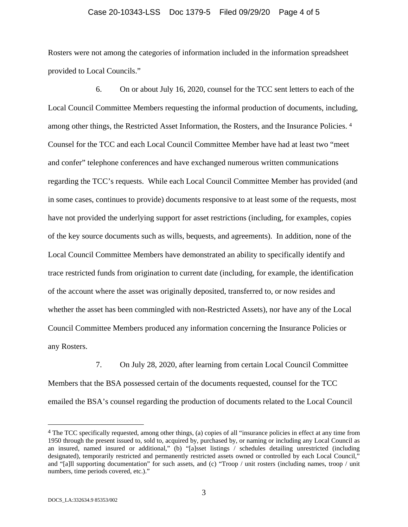#### Case 20-10343-LSS Doc 1379-5 Filed 09/29/20 Page 4 of 5

Rosters were not among the categories of information included in the information spreadsheet provided to Local Councils."

6. On or about July 16, 2020, counsel for the TCC sent letters to each of the Local Council Committee Members requesting the informal production of documents, including, among other things, the Restricted Asset Information, the Rosters, and the Insurance Policies. 4 Counsel for the TCC and each Local Council Committee Member have had at least two "meet and confer" telephone conferences and have exchanged numerous written communications regarding the TCC's requests. While each Local Council Committee Member has provided (and in some cases, continues to provide) documents responsive to at least some of the requests, most have not provided the underlying support for asset restrictions (including, for examples, copies of the key source documents such as wills, bequests, and agreements). In addition, none of the Local Council Committee Members have demonstrated an ability to specifically identify and trace restricted funds from origination to current date (including, for example, the identification of the account where the asset was originally deposited, transferred to, or now resides and whether the asset has been commingled with non-Restricted Assets), nor have any of the Local Council Committee Members produced any information concerning the Insurance Policies or any Rosters.

7. On July 28, 2020, after learning from certain Local Council Committee Members that the BSA possessed certain of the documents requested, counsel for the TCC emailed the BSA's counsel regarding the production of documents related to the Local Council

<sup>4</sup> The TCC specifically requested, among other things, (a) copies of all "insurance policies in effect at any time from 1950 through the present issued to, sold to, acquired by, purchased by, or naming or including any Local Council as an insured, named insured or additional," (b) "[a]sset listings / schedules detailing unrestricted (including designated), temporarily restricted and permanently restricted assets owned or controlled by each Local Council," and "[a]ll supporting documentation" for such assets, and (c) "Troop / unit rosters (including names, troop / unit numbers, time periods covered, etc.)."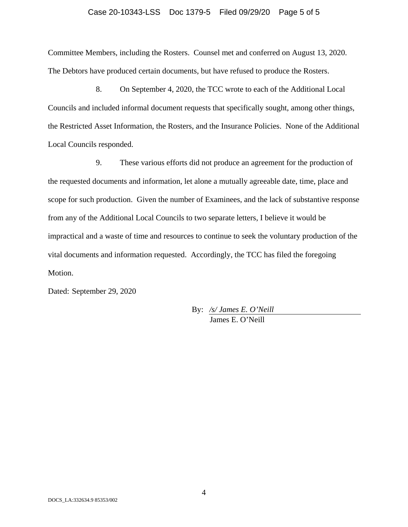#### Case 20-10343-LSS Doc 1379-5 Filed 09/29/20 Page 5 of 5

Committee Members, including the Rosters. Counsel met and conferred on August 13, 2020. The Debtors have produced certain documents, but have refused to produce the Rosters.

8. On September 4, 2020, the TCC wrote to each of the Additional Local Councils and included informal document requests that specifically sought, among other things, the Restricted Asset Information, the Rosters, and the Insurance Policies. None of the Additional Local Councils responded.

9. These various efforts did not produce an agreement for the production of the requested documents and information, let alone a mutually agreeable date, time, place and scope for such production. Given the number of Examinees, and the lack of substantive response from any of the Additional Local Councils to two separate letters, I believe it would be impractical and a waste of time and resources to continue to seek the voluntary production of the vital documents and information requested. Accordingly, the TCC has filed the foregoing Motion.

Dated: September 29, 2020

By: */s/ James E. O'Neill*  James E. O'Neill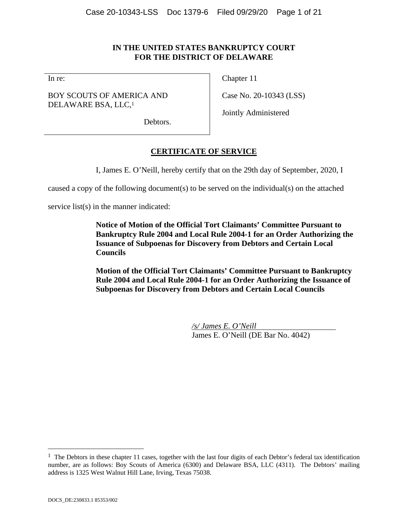# **IN THE UNITED STATES BANKRUPTCY COURT FOR THE DISTRICT OF DELAWARE**

In re:

BOY SCOUTS OF AMERICA AND DELAWARE BSA, LLC,<sup>1</sup>

Chapter 11

Case No. 20-10343 (LSS)

Jointly Administered

Debtors.

# **CERTIFICATE OF SERVICE**

I, James E. O'Neill, hereby certify that on the 29th day of September, 2020, I

caused a copy of the following document(s) to be served on the individual(s) on the attached

service list(s) in the manner indicated:

**Notice of Motion of the Official Tort Claimants' Committee Pursuant to Bankruptcy Rule 2004 and Local Rule 2004-1 for an Order Authorizing the Issuance of Subpoenas for Discovery from Debtors and Certain Local Councils** 

**Motion of the Official Tort Claimants' Committee Pursuant to Bankruptcy Rule 2004 and Local Rule 2004-1 for an Order Authorizing the Issuance of Subpoenas for Discovery from Debtors and Certain Local Councils** 

> */s/ James E. O'Neill*  James E. O'Neill (DE Bar No. 4042)

 $\overline{a}$ 

 $1$  The Debtors in these chapter 11 cases, together with the last four digits of each Debtor's federal tax identification number, are as follows: Boy Scouts of America (6300) and Delaware BSA, LLC (4311). The Debtors' mailing address is 1325 West Walnut Hill Lane, Irving, Texas 75038.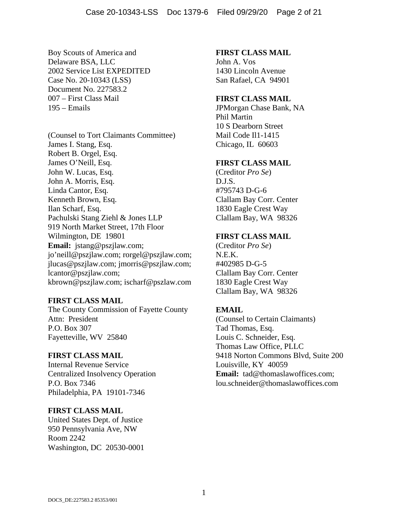Boy Scouts of America and Delaware BSA, LLC 2002 Service List EXPEDITED Case No. 20-10343 (LSS) Document No. 227583.2 007 – First Class Mail 195 – Emails

(Counsel to Tort Claimants Committee) James I. Stang, Esq. Robert B. Orgel, Esq. James O'Neill, Esq. John W. Lucas, Esq. John A. Morris, Esq. Linda Cantor, Esq. Kenneth Brown, Esq. Ilan Scharf, Esq. Pachulski Stang Ziehl & Jones LLP 919 North Market Street, 17th Floor Wilmington, DE 19801 **Email:** jstang@pszjlaw.com; jo'neill@pszjlaw.com; rorgel@pszjlaw.com; jlucas@pszjlaw.com; jmorris@pszjlaw.com; lcantor@pszjlaw.com; kbrown@pszjlaw.com; ischarf@pszlaw.com

#### **FIRST CLASS MAIL**

The County Commission of Fayette County Attn: President P.O. Box 307 Fayetteville, WV 25840

#### **FIRST CLASS MAIL**

Internal Revenue Service Centralized Insolvency Operation P.O. Box 7346 Philadelphia, PA 19101-7346

#### **FIRST CLASS MAIL**

United States Dept. of Justice 950 Pennsylvania Ave, NW Room 2242 Washington, DC 20530-0001

#### **FIRST CLASS MAIL**

John A. Vos 1430 Lincoln Avenue San Rafael, CA 94901

#### **FIRST CLASS MAIL**

JPMorgan Chase Bank, NA Phil Martin 10 S Dearborn Street Mail Code Il1-1415 Chicago, IL 60603

#### **FIRST CLASS MAIL**

(Creditor *Pro Se*) D.J.S. #795743 D-G-6 Clallam Bay Corr. Center 1830 Eagle Crest Way Clallam Bay, WA 98326

#### **FIRST CLASS MAIL**

(Creditor *Pro Se*) N.E.K. #402985 D-G-5 Clallam Bay Corr. Center 1830 Eagle Crest Way Clallam Bay, WA 98326

#### **EMAIL**

(Counsel to Certain Claimants) Tad Thomas, Esq. Louis C. Schneider, Esq. Thomas Law Office, PLLC 9418 Norton Commons Blvd, Suite 200 Louisville, KY 40059 **Email:** tad@thomaslawoffices.com; lou.schneider@thomaslawoffices.com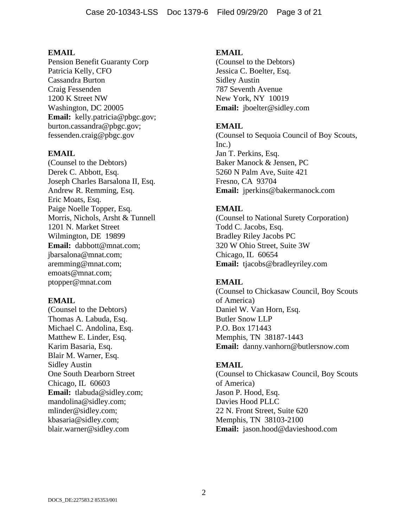Pension Benefit Guaranty Corp Patricia Kelly, CFO Cassandra Burton Craig Fessenden 1200 K Street NW Washington, DC 20005 **Email:** kelly.patricia@pbgc.gov; burton.cassandra@pbgc.gov; fessenden.craig@pbgc.gov

#### **EMAIL**

(Counsel to the Debtors) Derek C. Abbott, Esq. Joseph Charles Barsalona II, Esq. Andrew R. Remming, Esq. Eric Moats, Esq. Paige Noelle Topper, Esq. Morris, Nichols, Arsht & Tunnell 1201 N. Market Street Wilmington, DE 19899 **Email:** dabbott@mnat.com; jbarsalona@mnat.com; aremming@mnat.com; emoats@mnat.com; ptopper@mnat.com

#### **EMAIL**

(Counsel to the Debtors) Thomas A. Labuda, Esq. Michael C. Andolina, Esq. Matthew E. Linder, Esq. Karim Basaria, Esq. Blair M. Warner, Esq. Sidley Austin One South Dearborn Street Chicago, IL 60603 **Email:** tlabuda@sidley.com; mandolina@sidley.com; mlinder@sidley.com; kbasaria@sidley.com; blair.warner@sidley.com

#### **EMAIL**

(Counsel to the Debtors) Jessica C. Boelter, Esq. Sidley Austin 787 Seventh Avenue New York, NY 10019 **Email:** jboelter@sidley.com

### **EMAIL**

(Counsel to Sequoia Council of Boy Scouts, Inc.) Jan T. Perkins, Esq. Baker Manock & Jensen, PC 5260 N Palm Ave, Suite 421 Fresno, CA 93704 **Email:** jperkins@bakermanock.com

### **EMAIL**

(Counsel to National Surety Corporation) Todd C. Jacobs, Esq. Bradley Riley Jacobs PC 320 W Ohio Street, Suite 3W Chicago, IL 60654 **Email:** tjacobs@bradleyriley.com

### **EMAIL**

(Counsel to Chickasaw Council, Boy Scouts of America) Daniel W. Van Horn, Esq. Butler Snow LLP P.O. Box 171443 Memphis, TN 38187-1443 **Email:** danny.vanhorn@butlersnow.com

#### **EMAIL**

(Counsel to Chickasaw Council, Boy Scouts of America) Jason P. Hood, Esq. Davies Hood PLLC 22 N. Front Street, Suite 620 Memphis, TN 38103-2100 **Email:** jason.hood@davieshood.com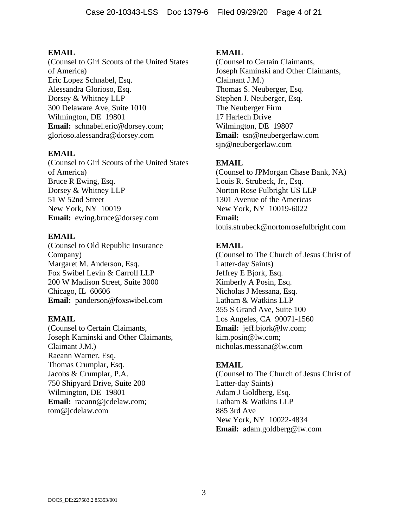(Counsel to Girl Scouts of the United States of America) Eric Lopez Schnabel, Esq. Alessandra Glorioso, Esq. Dorsey & Whitney LLP 300 Delaware Ave, Suite 1010 Wilmington, DE 19801 **Email:** schnabel.eric@dorsey.com; glorioso.alessandra@dorsey.com

### **EMAIL**

(Counsel to Girl Scouts of the United States of America) Bruce R Ewing, Esq. Dorsey & Whitney LLP 51 W 52nd Street New York, NY 10019 **Email:** ewing.bruce@dorsey.com

### **EMAIL**

(Counsel to Old Republic Insurance Company) Margaret M. Anderson, Esq. Fox Swibel Levin & Carroll LLP 200 W Madison Street, Suite 3000 Chicago, IL 60606 **Email:** panderson@foxswibel.com

### **EMAIL**

(Counsel to Certain Claimants, Joseph Kaminski and Other Claimants, Claimant J.M.) Raeann Warner, Esq. Thomas Crumplar, Esq. Jacobs & Crumplar, P.A. 750 Shipyard Drive, Suite 200 Wilmington, DE 19801 **Email:** raeann@jcdelaw.com; tom@jcdelaw.com

### **EMAIL**

(Counsel to Certain Claimants, Joseph Kaminski and Other Claimants, Claimant J.M.) Thomas S. Neuberger, Esq. Stephen J. Neuberger, Esq. The Neuberger Firm 17 Harlech Drive Wilmington, DE 19807 **Email:** tsn@neubergerlaw.com sjn@neubergerlaw.com

# **EMAIL**

(Counsel to JPMorgan Chase Bank, NA) Louis R. Strubeck, Jr., Esq. Norton Rose Fulbright US LLP 1301 Avenue of the Americas New York, NY 10019-6022 **Email:** louis.strubeck@nortonrosefulbright.com

# **EMAIL**

(Counsel to The Church of Jesus Christ of Latter-day Saints) Jeffrey E Bjork, Esq. Kimberly A Posin, Esq. Nicholas J Messana, Esq. Latham & Watkins LLP 355 S Grand Ave, Suite 100 Los Angeles, CA 90071-1560 **Email:** jeff.bjork@lw.com; kim.posin@lw.com; nicholas.messana@lw.com

### **EMAIL**

(Counsel to The Church of Jesus Christ of Latter-day Saints) Adam J Goldberg, Esq. Latham & Watkins LLP 885 3rd Ave New York, NY 10022-4834 **Email:** adam.goldberg@lw.com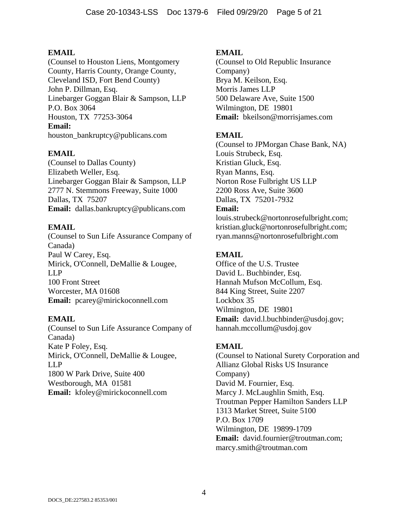(Counsel to Houston Liens, Montgomery County, Harris County, Orange County, Cleveland ISD, Fort Bend County) John P. Dillman, Esq. Linebarger Goggan Blair & Sampson, LLP P.O. Box 3064 Houston, TX 77253-3064 **Email:** houston\_bankruptcy@publicans.com

# **EMAIL**

(Counsel to Dallas County) Elizabeth Weller, Esq. Linebarger Goggan Blair & Sampson, LLP 2777 N. Stemmons Freeway, Suite 1000 Dallas, TX 75207 **Email:** dallas.bankruptcy@publicans.com

# **EMAIL**

(Counsel to Sun Life Assurance Company of Canada) Paul W Carey, Esq. Mirick, O'Connell, DeMallie & Lougee, LLP 100 Front Street Worcester, MA 01608 **Email:** pcarey@mirickoconnell.com

### **EMAIL**

(Counsel to Sun Life Assurance Company of Canada) Kate P Foley, Esq. Mirick, O'Connell, DeMallie & Lougee, LLP 1800 W Park Drive, Suite 400 Westborough, MA 01581 **Email:** kfoley@mirickoconnell.com

### **EMAIL**

(Counsel to Old Republic Insurance Company) Brya M. Keilson, Esq. Morris James LLP 500 Delaware Ave, Suite 1500 Wilmington, DE 19801 **Email:** bkeilson@morrisjames.com

# **EMAIL**

(Counsel to JPMorgan Chase Bank, NA) Louis Strubeck, Esq. Kristian Gluck, Esq. Ryan Manns, Esq. Norton Rose Fulbright US LLP 2200 Ross Ave, Suite 3600 Dallas, TX 75201-7932 **Email:**

louis.strubeck@nortonrosefulbright.com; kristian.gluck@nortonrosefulbright.com; ryan.manns@nortonrosefulbright.com

# **EMAIL**

Office of the U.S. Trustee David L. Buchbinder, Esq. Hannah Mufson McCollum, Esq. 844 King Street, Suite 2207 Lockbox 35 Wilmington, DE 19801 **Email:** david.l.buchbinder@usdoj.gov; hannah.mccollum@usdoj.gov

# **EMAIL**

(Counsel to National Surety Corporation and Allianz Global Risks US Insurance Company) David M. Fournier, Esq. Marcy J. McLaughlin Smith, Esq. Troutman Pepper Hamilton Sanders LLP 1313 Market Street, Suite 5100 P.O. Box 1709 Wilmington, DE 19899-1709 **Email:** david.fournier@troutman.com; marcy.smith@troutman.com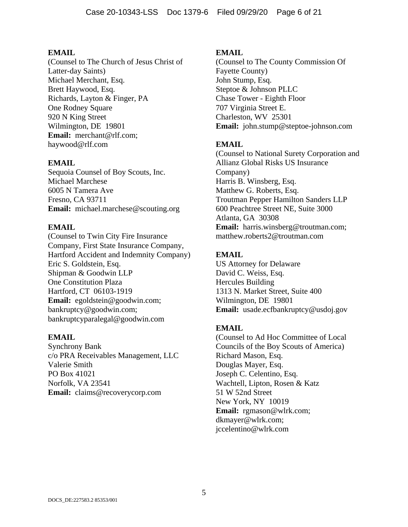(Counsel to The Church of Jesus Christ of Latter-day Saints) Michael Merchant, Esq. Brett Haywood, Esq. Richards, Layton & Finger, PA One Rodney Square 920 N King Street Wilmington, DE 19801 **Email:** merchant@rlf.com; haywood@rlf.com

# **EMAIL**

Sequoia Counsel of Boy Scouts, Inc. Michael Marchese 6005 N Tamera Ave Fresno, CA 93711 **Email:** michael.marchese@scouting.org

### **EMAIL**

(Counsel to Twin City Fire Insurance Company, First State Insurance Company, Hartford Accident and Indemnity Company) Eric S. Goldstein, Esq. Shipman & Goodwin LLP One Constitution Plaza Hartford, CT 06103-1919 **Email:** egoldstein@goodwin.com; bankruptcy@goodwin.com; bankruptcyparalegal@goodwin.com

### **EMAIL**

Synchrony Bank c/o PRA Receivables Management, LLC Valerie Smith PO Box 41021 Norfolk, VA 23541 **Email:** claims@recoverycorp.com

#### **EMAIL**

(Counsel to The County Commission Of Fayette County) John Stump, Esq. Steptoe & Johnson PLLC Chase Tower - Eighth Floor 707 Virginia Street E. Charleston, WV 25301 **Email:** john.stump@steptoe-johnson.com

### **EMAIL**

(Counsel to National Surety Corporation and Allianz Global Risks US Insurance Company) Harris B. Winsberg, Esq. Matthew G. Roberts, Esq. Troutman Pepper Hamilton Sanders LLP 600 Peachtree Street NE, Suite 3000 Atlanta, GA 30308 **Email:** harris.winsberg@troutman.com; matthew.roberts2@troutman.com

### **EMAIL**

US Attorney for Delaware David C. Weiss, Esq. Hercules Building 1313 N. Market Street, Suite 400 Wilmington, DE 19801 **Email:** usade.ecfbankruptcy@usdoj.gov

# **EMAIL**

(Counsel to Ad Hoc Committee of Local Councils of the Boy Scouts of America) Richard Mason, Esq. Douglas Mayer, Esq. Joseph C. Celentino, Esq. Wachtell, Lipton, Rosen & Katz 51 W 52nd Street New York, NY 10019 **Email:** rgmason@wlrk.com; dkmayer@wlrk.com; jccelentino@wlrk.com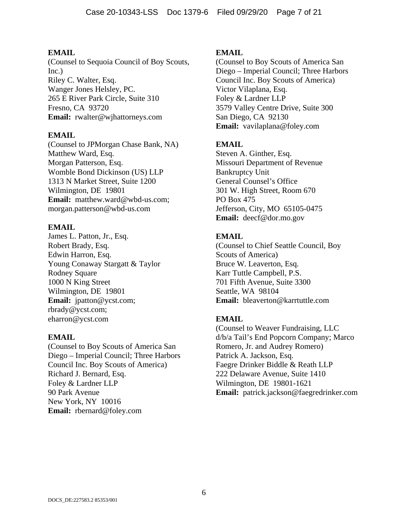(Counsel to Sequoia Council of Boy Scouts, Inc.) Riley C. Walter, Esq. Wanger Jones Helsley, PC. 265 E River Park Circle, Suite 310 Fresno, CA 93720 **Email:** rwalter@wjhattorneys.com

### **EMAIL**

(Counsel to JPMorgan Chase Bank, NA) Matthew Ward, Esq. Morgan Patterson, Esq. Womble Bond Dickinson (US) LLP 1313 N Market Street, Suite 1200 Wilmington, DE 19801 **Email:** matthew.ward@wbd-us.com; morgan.patterson@wbd-us.com

# **EMAIL**

James L. Patton, Jr., Esq. Robert Brady, Esq. Edwin Harron, Esq. Young Conaway Stargatt & Taylor Rodney Square 1000 N King Street Wilmington, DE 19801 **Email:** jpatton@ycst.com; rbrady@ycst.com; eharron@ycst.com

### **EMAIL**

(Counsel to Boy Scouts of America San Diego – Imperial Council; Three Harbors Council Inc. Boy Scouts of America) Richard J. Bernard, Esq. Foley & Lardner LLP 90 Park Avenue New York, NY 10016 **Email:** rbernard@foley.com

# **EMAIL**

(Counsel to Boy Scouts of America San Diego – Imperial Council; Three Harbors Council Inc. Boy Scouts of America) Victor Vilaplana, Esq. Foley & Lardner LLP 3579 Valley Centre Drive, Suite 300 San Diego, CA 92130 **Email:** vavilaplana@foley.com

# **EMAIL**

Steven A. Ginther, Esq. Missouri Department of Revenue Bankruptcy Unit General Counsel's Office 301 W. High Street, Room 670 PO Box 475 Jefferson, City, MO 65105-0475 **Email:** deecf@dor.mo.gov

# **EMAIL**

(Counsel to Chief Seattle Council, Boy Scouts of America) Bruce W. Leaverton, Esq. Karr Tuttle Campbell, P.S. 701 Fifth Avenue, Suite 3300 Seattle, WA 98104 **Email:** bleaverton@karrtuttle.com

# **EMAIL**

(Counsel to Weaver Fundraising, LLC d/b/a Tail's End Popcorn Company; Marco Romero, Jr. and Audrey Romero) Patrick A. Jackson, Esq. Faegre Drinker Biddle & Reath LLP 222 Delaware Avenue, Suite 1410 Wilmington, DE 19801-1621 **Email:** patrick.jackson@faegredrinker.com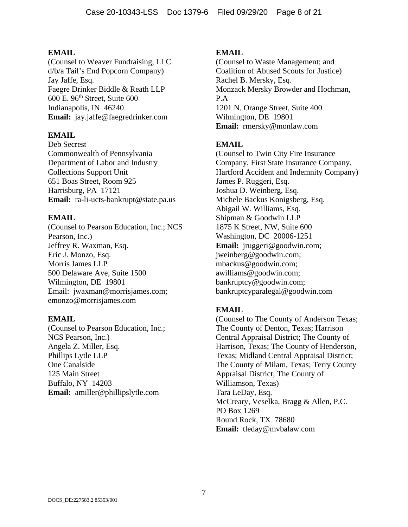(Counsel to Weaver Fundraising, LLC d/b/a Tail's End Popcorn Company) Jay Jaffe, Esq. Faegre Drinker Biddle & Reath LLP 600 E. 96th Street, Suite 600 Indianapolis, IN 46240 **Email:** jay.jaffe@faegredrinker.com

# **EMAIL**

Deb Secrest Commonwealth of Pennsylvania Department of Labor and Industry Collections Support Unit 651 Boas Street, Room 925 Harrisburg, PA 17121 **Email:** ra-li-ucts-bankrupt@state.pa.us

# **EMAIL**

(Counsel to Pearson Education, Inc.; NCS Pearson, Inc.) Jeffrey R. Waxman, Esq. Eric J. Monzo, Esq. Morris James LLP 500 Delaware Ave, Suite 1500 Wilmington, DE 19801 Email: jwaxman@morrisjames.com; emonzo@morrisjames.com

### **EMAIL**

(Counsel to Pearson Education, Inc.; NCS Pearson, Inc.) Angela Z. Miller, Esq. Phillips Lytle LLP One Canalside 125 Main Street Buffalo, NY 14203 **Email:** amiller@phillipslytle.com

# **EMAIL**

(Counsel to Waste Management; and Coalition of Abused Scouts for Justice) Rachel B. Mersky, Esq. Monzack Mersky Browder and Hochman, P.A 1201 N. Orange Street, Suite 400 Wilmington, DE 19801 **Email:** rmersky@monlaw.com

# **EMAIL**

(Counsel to Twin City Fire Insurance Company, First State Insurance Company, Hartford Accident and Indemnity Company) James P. Ruggeri, Esq. Joshua D. Weinberg, Esq. Michele Backus Konigsberg, Esq. Abigail W. Williams, Esq. Shipman & Goodwin LLP 1875 K Street, NW, Suite 600 Washington, DC 20006-1251 **Email:** jruggeri@goodwin.com; jweinberg@goodwin.com; mbackus@goodwin.com; awilliams@goodwin.com; bankruptcy@goodwin.com; bankruptcyparalegal@goodwin.com

# **EMAIL**

(Counsel to The County of Anderson Texas; The County of Denton, Texas; Harrison Central Appraisal District; The County of Harrison, Texas; The County of Henderson, Texas; Midland Central Appraisal District; The County of Milam, Texas; Terry County Appraisal District; The County of Williamson, Texas) Tara LeDay, Esq. McCreary, Veselka, Bragg & Allen, P.C. PO Box 1269 Round Rock, TX 78680 **Email:** tleday@mvbalaw.com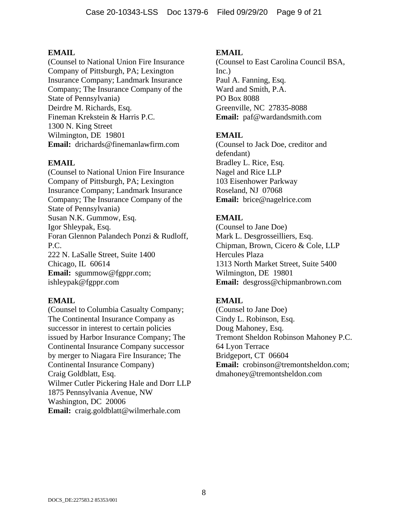(Counsel to National Union Fire Insurance Company of Pittsburgh, PA; Lexington Insurance Company; Landmark Insurance Company; The Insurance Company of the State of Pennsylvania) Deirdre M. Richards, Esq. Fineman Krekstein & Harris P.C. 1300 N. King Street Wilmington, DE 19801 **Email:** drichards@finemanlawfirm.com

### **EMAIL**

(Counsel to National Union Fire Insurance Company of Pittsburgh, PA; Lexington Insurance Company; Landmark Insurance Company; The Insurance Company of the State of Pennsylvania) Susan N.K. Gummow, Esq. Igor Shleypak, Esq. Foran Glennon Palandech Ponzi & Rudloff, P.C. 222 N. LaSalle Street, Suite 1400 Chicago, IL 60614 **Email:** sgummow@fgppr.com; ishleypak@fgppr.com

#### **EMAIL**

(Counsel to Columbia Casualty Company; The Continental Insurance Company as successor in interest to certain policies issued by Harbor Insurance Company; The Continental Insurance Company successor by merger to Niagara Fire Insurance; The Continental Insurance Company) Craig Goldblatt, Esq. Wilmer Cutler Pickering Hale and Dorr LLP 1875 Pennsylvania Avenue, NW Washington, DC 20006 **Email:** craig.goldblatt@wilmerhale.com

#### **EMAIL**

(Counsel to East Carolina Council BSA, Inc.) Paul A. Fanning, Esq. Ward and Smith, P.A. PO Box 8088 Greenville, NC 27835-8088 **Email:** paf@wardandsmith.com

### **EMAIL**

(Counsel to Jack Doe, creditor and defendant) Bradley L. Rice, Esq. Nagel and Rice LLP 103 Eisenhower Parkway Roseland, NJ 07068 **Email:** brice@nagelrice.com

# **EMAIL**

(Counsel to Jane Doe) Mark L. Desgrosseilliers, Esq. Chipman, Brown, Cicero & Cole, LLP Hercules Plaza 1313 North Market Street, Suite 5400 Wilmington, DE 19801 **Email:** desgross@chipmanbrown.com

### **EMAIL**

(Counsel to Jane Doe) Cindy L. Robinson, Esq. Doug Mahoney, Esq. Tremont Sheldon Robinson Mahoney P.C. 64 Lyon Terrace Bridgeport, CT 06604 **Email:** crobinson@tremontsheldon.com; dmahoney@tremontsheldon.com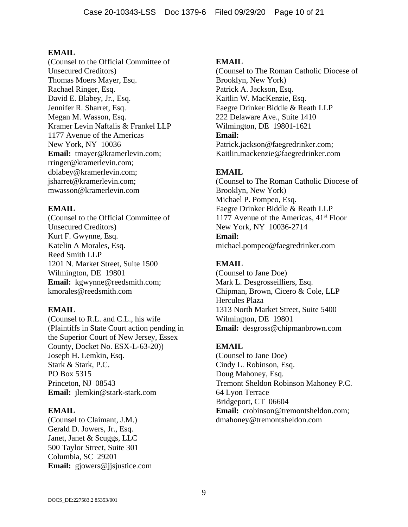(Counsel to the Official Committee of Unsecured Creditors) Thomas Moers Mayer, Esq. Rachael Ringer, Esq. David E. Blabey, Jr., Esq. Jennifer R. Sharret, Esq. Megan M. Wasson, Esq. Kramer Levin Naftalis & Frankel LLP 1177 Avenue of the Americas New York, NY 10036 **Email:** tmayer@kramerlevin.com; rringer@kramerlevin.com; dblabey@kramerlevin.com; jsharret@kramerlevin.com; mwasson@kramerlevin.com

# **EMAIL**

(Counsel to the Official Committee of Unsecured Creditors) Kurt F. Gwynne, Esq. Katelin A Morales, Esq. Reed Smith LLP 1201 N. Market Street, Suite 1500 Wilmington, DE 19801 **Email:** kgwynne@reedsmith.com; kmorales@reedsmith.com

### **EMAIL**

(Counsel to R.L. and C.L., his wife (Plaintiffs in State Court action pending in the Superior Court of New Jersey, Essex County, Docket No. ESX-L-63-20)) Joseph H. Lemkin, Esq. Stark & Stark, P.C. PO Box 5315 Princeton, NJ 08543 **Email:** jlemkin@stark-stark.com

### **EMAIL**

(Counsel to Claimant, J.M.) Gerald D. Jowers, Jr., Esq. Janet, Janet & Scuggs, LLC 500 Taylor Street, Suite 301 Columbia, SC 29201 **Email:** gjowers@jjsjustice.com

### **EMAIL**

(Counsel to The Roman Catholic Diocese of Brooklyn, New York) Patrick A. Jackson, Esq. Kaitlin W. MacKenzie, Esq. Faegre Drinker Biddle & Reath LLP 222 Delaware Ave., Suite 1410 Wilmington, DE 19801-1621 **Email:** Patrick.jackson@faegredrinker.com; Kaitlin.mackenzie@faegredrinker.com

# **EMAIL**

(Counsel to The Roman Catholic Diocese of Brooklyn, New York) Michael P. Pompeo, Esq. Faegre Drinker Biddle & Reath LLP 1177 Avenue of the Americas,  $41<sup>st</sup>$  Floor New York, NY 10036-2714 **Email:** michael.pompeo@faegredrinker.com

# **EMAIL**

(Counsel to Jane Doe) Mark L. Desgrosseilliers, Esq. Chipman, Brown, Cicero & Cole, LLP Hercules Plaza 1313 North Market Street, Suite 5400 Wilmington, DE 19801 **Email:** desgross@chipmanbrown.com

# **EMAIL**

(Counsel to Jane Doe) Cindy L. Robinson, Esq. Doug Mahoney, Esq. Tremont Sheldon Robinson Mahoney P.C. 64 Lyon Terrace Bridgeport, CT 06604 **Email:** crobinson@tremontsheldon.com: dmahoney@tremontsheldon.com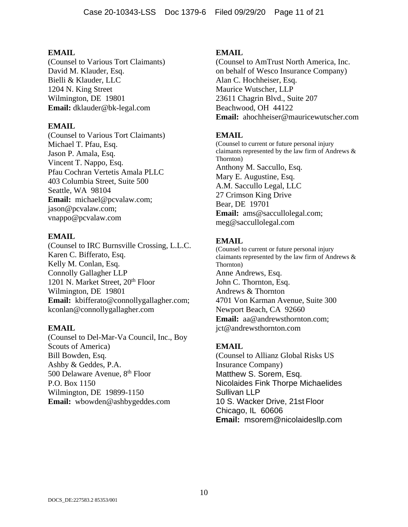(Counsel to Various Tort Claimants) David M. Klauder, Esq. Bielli & Klauder, LLC 1204 N. King Street Wilmington, DE 19801 **Email:** dklauder@bk-legal.com

### **EMAIL**

(Counsel to Various Tort Claimants) Michael T. Pfau, Esq. Jason P. Amala, Esq. Vincent T. Nappo, Esq. Pfau Cochran Vertetis Amala PLLC 403 Columbia Street, Suite 500 Seattle, WA 98104 **Email:** michael@pcvalaw.com; jason@pcvalaw.com; vnappo@pcvalaw.com

# **EMAIL**

(Counsel to IRC Burnsville Crossing, L.L.C. Karen C. Bifferato, Esq. Kelly M. Conlan, Esq. Connolly Gallagher LLP 1201 N. Market Street, 20<sup>th</sup> Floor Wilmington, DE 19801 **Email:** kbifferato@connollygallagher.com; kconlan@connollygallagher.com

### **EMAIL**

(Counsel to Del-Mar-Va Council, Inc., Boy Scouts of America) Bill Bowden, Esq. Ashby & Geddes, P.A. 500 Delaware Avenue, 8<sup>th</sup> Floor P.O. Box 1150 Wilmington, DE 19899-1150 **Email:** wbowden@ashbygeddes.com

### **EMAIL**

(Counsel to AmTrust North America, Inc. on behalf of Wesco Insurance Company) Alan C. Hochheiser, Esq. Maurice Wutscher, LLP 23611 Chagrin Blvd., Suite 207 Beachwood, OH 44122 **Email:** ahochheiser@mauricewutscher.com

# **EMAIL**

(Counsel to current or future personal injury claimants represented by the law firm of Andrews & Thornton) Anthony M. Saccullo, Esq. Mary E. Augustine, Esq. A.M. Saccullo Legal, LLC 27 Crimson King Drive Bear, DE 19701 **Email:** ams@saccullolegal.com; meg@saccullolegal.com

# **EMAIL**

(Counsel to current or future personal injury claimants represented by the law firm of Andrews & Thornton) Anne Andrews, Esq. John C. Thornton, Esq. Andrews & Thornton 4701 Von Karman Avenue, Suite 300 Newport Beach, CA 92660 **Email:** aa@andrewsthornton.com; jct@andrewsthornton.com

# **EMAIL**

(Counsel to Allianz Global Risks US Insurance Company) Matthew S. Sorem, Esq. Nicolaides Fink Thorpe Michaelides Sullivan LLP 10 S. Wacker Drive, 21st Floor Chicago, IL 60606 **Email:** msorem@nicolaidesllp.com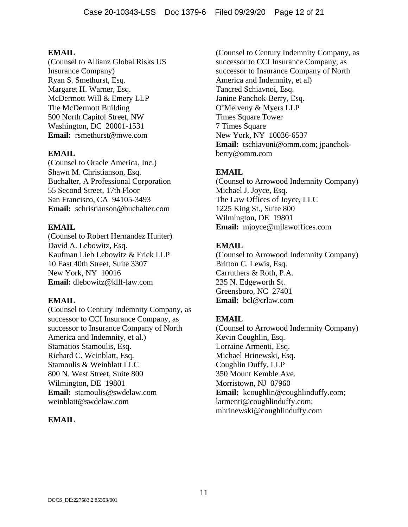(Counsel to Allianz Global Risks US Insurance Company) Ryan S. Smethurst, Esq. Margaret H. Warner, Esq. McDermott Will & Emery LLP The McDermott Building 500 North Capitol Street, NW Washington, DC 20001-1531 **Email:** rsmethurst@mwe.com

# **EMAIL**

(Counsel to Oracle America, Inc.) Shawn M. Christianson, Esq. Buchalter, A Professional Corporation 55 Second Street, 17th Floor San Francisco, CA 94105-3493 **Email:** schristianson@buchalter.com

# **EMAIL**

(Counsel to Robert Hernandez Hunter) David A. Lebowitz, Esq. Kaufman Lieb Lebowitz & Frick LLP 10 East 40th Street, Suite 3307 New York, NY 10016 **Email:** dlebowitz@kllf-law.com

### **EMAIL**

(Counsel to Century Indemnity Company, as successor to CCI Insurance Company, as successor to Insurance Company of North America and Indemnity, et al.) Stamatios Stamoulis, Esq. Richard C. Weinblatt, Esq. Stamoulis & Weinblatt LLC 800 N. West Street, Suite 800 Wilmington, DE 19801 **Email:** stamoulis@swdelaw.com weinblatt@swdelaw.com

### **EMAIL**

(Counsel to Century Indemnity Company, as successor to CCI Insurance Company, as successor to Insurance Company of North America and Indemnity, et al) Tancred Schiavnoi, Esq. Janine Panchok-Berry, Esq. O'Melveny & Myers LLP Times Square Tower 7 Times Square New York, NY 10036-6537 **Email:** tschiavoni@omm.com; jpanchokberry@omm.com

# **EMAIL**

(Counsel to Arrowood Indemnity Company) Michael J. Joyce, Esq. The Law Offices of Joyce, LLC 1225 King St., Suite 800 Wilmington, DE 19801 **Email:** mjoyce@mjlawoffices.com

# **EMAIL**

(Counsel to Arrowood Indemnity Company) Britton C. Lewis, Esq. Carruthers & Roth, P.A. 235 N. Edgeworth St. Greensboro, NC 27401 **Email:** bcl@crlaw.com

# **EMAIL**

(Counsel to Arrowood Indemnity Company) Kevin Coughlin, Esq. Lorraine Armenti, Esq. Michael Hrinewski, Esq. Coughlin Duffy, LLP 350 Mount Kemble Ave. Morristown, NJ 07960 Email: kcoughlin@coughlinduffy.com; larmenti@coughlinduffy.com; mhrinewski@coughlinduffy.com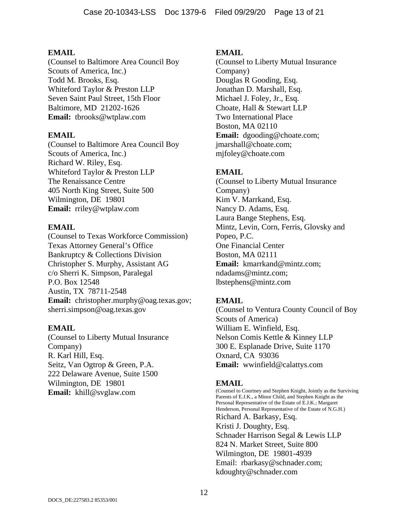(Counsel to Baltimore Area Council Boy Scouts of America, Inc.) Todd M. Brooks, Esq. Whiteford Taylor & Preston LLP Seven Saint Paul Street, 15th Floor Baltimore, MD 21202-1626 **Email:** tbrooks@wtplaw.com

### **EMAIL**

(Counsel to Baltimore Area Council Boy Scouts of America, Inc.) Richard W. Riley, Esq. Whiteford Taylor & Preston LLP The Renaissance Centre 405 North King Street, Suite 500 Wilmington, DE 19801 **Email:** rriley@wtplaw.com

# **EMAIL**

(Counsel to Texas Workforce Commission) Texas Attorney General's Office Bankruptcy & Collections Division Christopher S. Murphy, Assistant AG c/o Sherri K. Simpson, Paralegal P.O. Box 12548 Austin, TX 78711-2548 **Email:** christopher.murphy@oag.texas.gov; sherri.simpson@oag.texas.gov

### **EMAIL**

(Counsel to Liberty Mutual Insurance Company) R. Karl Hill, Esq. Seitz, Van Ogtrop & Green, P.A. 222 Delaware Avenue, Suite 1500 Wilmington, DE 19801 **Email:** khill@svglaw.com

### **EMAIL**

(Counsel to Liberty Mutual Insurance Company) Douglas R Gooding, Esq. Jonathan D. Marshall, Esq. Michael J. Foley, Jr., Esq. Choate, Hall & Stewart LLP Two International Place Boston, MA 02110 **Email:** dgooding@choate.com; jmarshall@choate.com; mjfoley@choate.com

# **EMAIL**

(Counsel to Liberty Mutual Insurance Company) Kim V. Marrkand, Esq. Nancy D. Adams, Esq. Laura Bange Stephens, Esq. Mintz, Levin, Corn, Ferris, Glovsky and Popeo, P.C. One Financial Center Boston, MA 02111 **Email:** kmarrkand@mintz.com; ndadams@mintz.com; lbstephens@mintz.com

# **EMAIL**

(Counsel to Ventura County Council of Boy Scouts of America) William E. Winfield, Esq. Nelson Comis Kettle & Kinney LLP 300 E. Esplanade Drive, Suite 1170 Oxnard, CA 93036 **Email:** wwinfield@calattys.com

# **EMAIL**

(Counsel to Courtney and Stephen Knight, Jointly as the Surviving Parents of E.J.K., a Minor Child, and Stephen Knight as the Personal Representative of the Estate of E.J.K.; Margaret Henderson, Personal Representative of the Estate of N.G.H.) Richard A. Barkasy, Esq. Kristi J. Doughty, Esq. Schnader Harrison Segal & Lewis LLP 824 N. Market Street, Suite 800 Wilmington, DE 19801-4939 Email: rbarkasy@schnader.com; kdoughty@schnader.com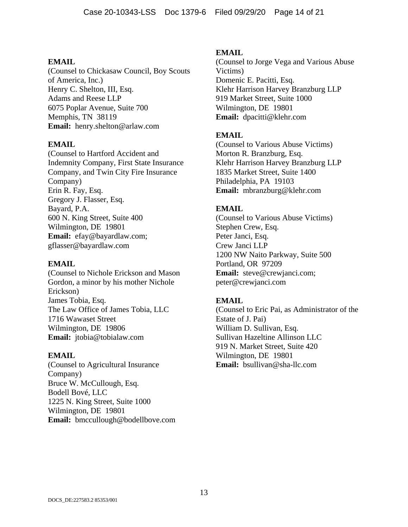(Counsel to Chickasaw Council, Boy Scouts of America, Inc.) Henry C. Shelton, III, Esq. Adams and Reese LLP 6075 Poplar Avenue, Suite 700 Memphis, TN 38119 **Email:** henry.shelton@arlaw.com

#### **EMAIL**

(Counsel to Hartford Accident and Indemnity Company, First State Insurance Company, and Twin City Fire Insurance Company) Erin R. Fay, Esq. Gregory J. Flasser, Esq. Bayard, P.A. 600 N. King Street, Suite 400 Wilmington, DE 19801 **Email:** efay@bayardlaw.com; gflasser@bayardlaw.com

#### **EMAIL**

(Counsel to Nichole Erickson and Mason Gordon, a minor by his mother Nichole Erickson) James Tobia, Esq. The Law Office of James Tobia, LLC 1716 Wawaset Street Wilmington, DE 19806 **Email:** jtobia@tobialaw.com

#### **EMAIL**

(Counsel to Agricultural Insurance Company) Bruce W. McCullough, Esq. Bodell Bové, LLC 1225 N. King Street, Suite 1000 Wilmington, DE 19801 **Email:** bmccullough@bodellbove.com

### **EMAIL**

(Counsel to Jorge Vega and Various Abuse Victims) Domenic E. Pacitti, Esq. Klehr Harrison Harvey Branzburg LLP 919 Market Street, Suite 1000 Wilmington, DE 19801 **Email:** dpacitti@klehr.com

### **EMAIL**

(Counsel to Various Abuse Victims) Morton R. Branzburg, Esq. Klehr Harrison Harvey Branzburg LLP 1835 Market Street, Suite 1400 Philadelphia, PA 19103 **Email:** mbranzburg@klehr.com

# **EMAIL**

(Counsel to Various Abuse Victims) Stephen Crew, Esq. Peter Janci, Esq. Crew Janci LLP 1200 NW Naito Parkway, Suite 500 Portland, OR 97209 **Email:** steve@crewjanci.com; peter@crewjanci.com

### **EMAIL**

(Counsel to Eric Pai, as Administrator of the Estate of J. Pai) William D. Sullivan, Esq. Sullivan Hazeltine Allinson LLC 919 N. Market Street, Suite 420 Wilmington, DE 19801 **Email:** bsullivan@sha-llc.com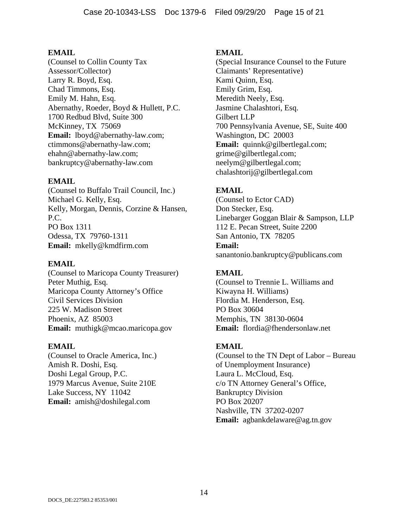(Counsel to Collin County Tax Assessor/Collector) Larry R. Boyd, Esq. Chad Timmons, Esq. Emily M. Hahn, Esq. Abernathy, Roeder, Boyd & Hullett, P.C. 1700 Redbud Blvd, Suite 300 McKinney, TX 75069 **Email:** lboyd@abernathy-law.com; ctimmons@abernathy-law.com; ehahn@abernathy-law.com; bankruptcy@abernathy-law.com

#### **EMAIL**

(Counsel to Buffalo Trail Council, Inc.) Michael G. Kelly, Esq. Kelly, Morgan, Dennis, Corzine & Hansen, P.C. PO Box 1311 Odessa, TX 79760-1311 **Email:** mkelly@kmdfirm.com

#### **EMAIL**

(Counsel to Maricopa County Treasurer) Peter Muthig, Esq. Maricopa County Attorney's Office Civil Services Division 225 W. Madison Street Phoenix, AZ 85003 **Email:** muthigk@mcao.maricopa.gov

#### **EMAIL**

(Counsel to Oracle America, Inc.) Amish R. Doshi, Esq. Doshi Legal Group, P.C. 1979 Marcus Avenue, Suite 210E Lake Success, NY 11042 **Email:** amish@doshilegal.com

#### **EMAIL**

(Special Insurance Counsel to the Future Claimants' Representative) Kami Quinn, Esq. Emily Grim, Esq. Meredith Neely, Esq. Jasmine Chalashtori, Esq. Gilbert LLP 700 Pennsylvania Avenue, SE, Suite 400 Washington, DC 20003 **Email:** quinnk@gilbertlegal.com; grime@gilbertlegal.com; neelym@gilbertlegal.com; chalashtorij@gilbertlegal.com

# **EMAIL**

(Counsel to Ector CAD) Don Stecker, Esq. Linebarger Goggan Blair & Sampson, LLP 112 E. Pecan Street, Suite 2200 San Antonio, TX 78205 **Email:** sanantonio.bankruptcy@publicans.com

# **EMAIL**

(Counsel to Trennie L. Williams and Kiwayna H. Williams) Flordia M. Henderson, Esq. PO Box 30604 Memphis, TN 38130-0604 **Email:** flordia@fhendersonlaw.net

### **EMAIL**

(Counsel to the TN Dept of Labor – Bureau of Unemployment Insurance) Laura L. McCloud, Esq. c/o TN Attorney General's Office, Bankruptcy Division PO Box 20207 Nashville, TN 37202-0207 **Email:** agbankdelaware@ag.tn.gov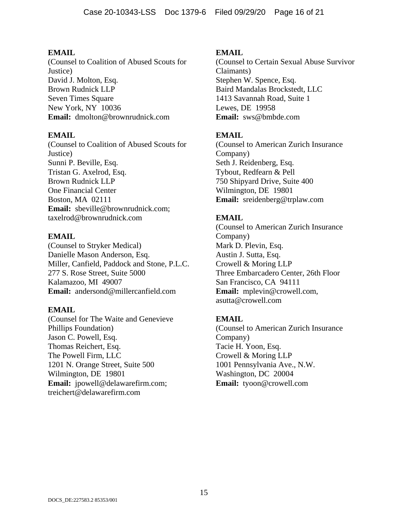(Counsel to Coalition of Abused Scouts for Justice) David J. Molton, Esq. Brown Rudnick LLP Seven Times Square New York, NY 10036 **Email:** dmolton@brownrudnick.com

### **EMAIL**

(Counsel to Coalition of Abused Scouts for Justice) Sunni P. Beville, Esq. Tristan G. Axelrod, Esq. Brown Rudnick LLP One Financial Center Boston, MA 02111 **Email:** sbeville@brownrudnick.com; taxelrod@brownrudnick.com

# **EMAIL**

(Counsel to Stryker Medical) Danielle Mason Anderson, Esq. Miller, Canfield, Paddock and Stone, P.L.C. 277 S. Rose Street, Suite 5000 Kalamazoo, MI 49007 **Email:** andersond@millercanfield.com

### **EMAIL**

(Counsel for The Waite and Genevieve Phillips Foundation) Jason C. Powell, Esq. Thomas Reichert, Esq. The Powell Firm, LLC 1201 N. Orange Street, Suite 500 Wilmington, DE 19801 **Email:** jpowell@delawarefirm.com; treichert@delawarefirm.com

# **EMAIL**

(Counsel to Certain Sexual Abuse Survivor Claimants) Stephen W. Spence, Esq. Baird Mandalas Brockstedt, LLC 1413 Savannah Road, Suite 1 Lewes, DE 19958 **Email:** sws@bmbde.com

# **EMAIL**

(Counsel to American Zurich Insurance Company) Seth J. Reidenberg, Esq. Tybout, Redfearn & Pell 750 Shipyard Drive, Suite 400 Wilmington, DE 19801 **Email:** sreidenberg@trplaw.com

# **EMAIL**

(Counsel to American Zurich Insurance Company) Mark D. Plevin, Esq. Austin J. Sutta, Esq. Crowell & Moring LLP Three Embarcadero Center, 26th Floor San Francisco, CA 94111 **Email:** mplevin@crowell.com, asutta@crowell.com

# **EMAIL**

(Counsel to American Zurich Insurance Company) Tacie H. Yoon, Esq. Crowell & Moring LLP 1001 Pennsylvania Ave., N.W. Washington, DC 20004 **Email:** tyoon@crowell.com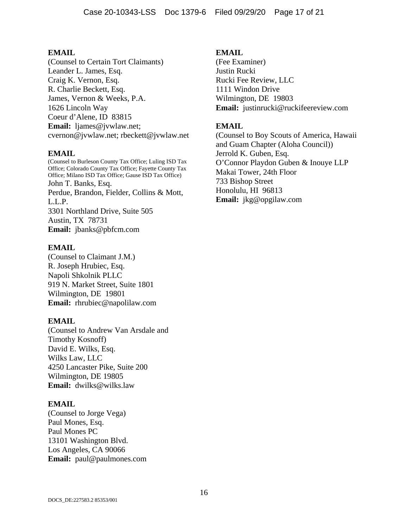(Counsel to Certain Tort Claimants) Leander L. James, Esq. Craig K. Vernon, Esq. R. Charlie Beckett, Esq. James, Vernon & Weeks, P.A. 1626 Lincoln Way Coeur d'Alene, ID 83815 **Email:** ljames@jvwlaw.net; cvernon@jvwlaw.net; rbeckett@jvwlaw.net

### **EMAIL**

(Counsel to Burleson County Tax Office; Luling ISD Tax Office; Colorado County Tax Office; Fayette County Tax Office; Milano ISD Tax Office; Gause ISD Tax Office) John T. Banks, Esq. Perdue, Brandon, Fielder, Collins & Mott, L.L.P. 3301 Northland Drive, Suite 505 Austin, TX 78731 **Email:** jbanks@pbfcm.com

#### **EMAIL**

(Counsel to Claimant J.M.) R. Joseph Hrubiec, Esq. Napoli Shkolnik PLLC 919 N. Market Street, Suite 1801 Wilmington, DE 19801 **Email:** rhrubiec@napolilaw.com

#### **EMAIL**

(Counsel to Andrew Van Arsdale and Timothy Kosnoff) David E. Wilks, Esq. Wilks Law, LLC 4250 Lancaster Pike, Suite 200 Wilmington, DE 19805 **Email:** dwilks@wilks.law

### **EMAIL**

(Counsel to Jorge Vega) Paul Mones, Esq. Paul Mones PC 13101 Washington Blvd. Los Angeles, CA 90066 **Email:** paul@paulmones.com

#### **EMAIL**

(Fee Examiner) Justin Rucki Rucki Fee Review, LLC 1111 Windon Drive Wilmington, DE 19803 **Email:** justinrucki@ruckifeereview.com

### **EMAIL**

(Counsel to Boy Scouts of America, Hawaii and Guam Chapter (Aloha Council)) Jerrold K. Guben, Esq. O'Connor Playdon Guben & Inouye LLP Makai Tower, 24th Floor 733 Bishop Street Honolulu, HI 96813 **Email:** jkg@opgilaw.com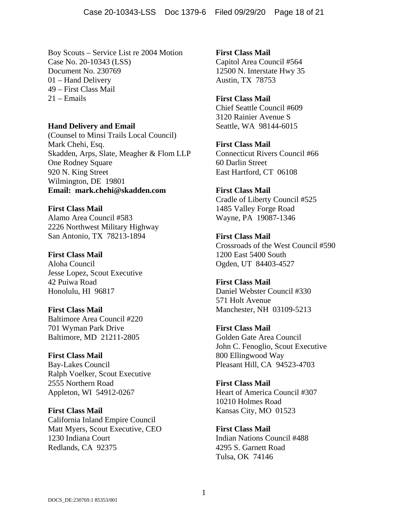Boy Scouts – Service List re 2004 Motion Case No. 20-10343 (LSS) Document No. 230769 01 – Hand Delivery 49 – First Class Mail 21 – Emails

**Hand Delivery and Email**  (Counsel to Minsi Trails Local Council) Mark Chehi, Esq. Skadden, Arps, Slate, Meagher & Flom LLP One Rodney Square 920 N. King Street Wilmington, DE 19801 **Email: mark.chehi@skadden.com** 

**First Class Mail**  Alamo Area Council #583 2226 Northwest Military Highway San Antonio, TX 78213-1894

**First Class Mail**  Aloha Council Jesse Lopez, Scout Executive 42 Puiwa Road Honolulu, HI 96817

**First Class Mail**  Baltimore Area Council #220 701 Wyman Park Drive Baltimore, MD 21211-2805

**First Class Mail**  Bay-Lakes Council Ralph Voelker, Scout Executive 2555 Northern Road Appleton, WI 54912-0267

**First Class Mail**  California Inland Empire Council Matt Myers, Scout Executive, CEO 1230 Indiana Court Redlands, CA 92375

**First Class Mail**  Capitol Area Council #564 12500 N. Interstate Hwy 35 Austin, TX 78753

**First Class Mail**  Chief Seattle Council #609 3120 Rainier Avenue S Seattle, WA 98144-6015

**First Class Mail**  Connecticut Rivers Council #66 60 Darlin Street East Hartford, CT 06108

**First Class Mail**  Cradle of Liberty Council #525 1485 Valley Forge Road Wayne, PA 19087-1346

**First Class Mail**  Crossroads of the West Council #590 1200 East 5400 South Ogden, UT 84403-4527

**First Class Mail**  Daniel Webster Council #330 571 Holt Avenue Manchester, NH 03109-5213

**First Class Mail**  Golden Gate Area Council John C. Fenoglio, Scout Executive 800 Ellingwood Way Pleasant Hill, CA 94523-4703

**First Class Mail**  Heart of America Council #307 10210 Holmes Road Kansas City, MO 01523

**First Class Mail**  Indian Nations Council #488 4295 S. Garnett Road Tulsa, OK 74146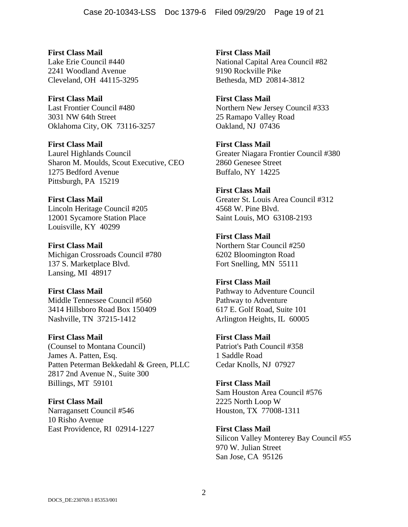**First Class Mail**  Lake Erie Council #440 2241 Woodland Avenue Cleveland, OH 44115-3295

**First Class Mail**  Last Frontier Council #480 3031 NW 64th Street Oklahoma City, OK 73116-3257

**First Class Mail**  Laurel Highlands Council Sharon M. Moulds, Scout Executive, CEO 1275 Bedford Avenue Pittsburgh, PA 15219

**First Class Mail**  Lincoln Heritage Council #205 12001 Sycamore Station Place Louisville, KY 40299

**First Class Mail**  Michigan Crossroads Council #780 137 S. Marketplace Blvd. Lansing, MI 48917

**First Class Mail**  Middle Tennessee Council #560 3414 Hillsboro Road Box 150409 Nashville, TN 37215-1412

**First Class Mail**  (Counsel to Montana Council) James A. Patten, Esq. Patten Peterman Bekkedahl & Green, PLLC 2817 2nd Avenue N., Suite 300 Billings, MT 59101

**First Class Mail**  Narragansett Council #546 10 Risho Avenue East Providence, RI 02914-1227 **First Class Mail**  National Capital Area Council #82 9190 Rockville Pike Bethesda, MD 20814-3812

**First Class Mail**  Northern New Jersey Council #333 25 Ramapo Valley Road Oakland, NJ 07436

**First Class Mail**  Greater Niagara Frontier Council #380 2860 Genesee Street Buffalo, NY 14225

**First Class Mail**  Greater St. Louis Area Council #312 4568 W. Pine Blvd. Saint Louis, MO 63108-2193

**First Class Mail**  Northern Star Council #250 6202 Bloomington Road Fort Snelling, MN 55111

**First Class Mail**  Pathway to Adventure Council Pathway to Adventure 617 E. Golf Road, Suite 101 Arlington Heights, IL 60005

**First Class Mail**  Patriot's Path Council #358 1 Saddle Road Cedar Knolls, NJ 07927

**First Class Mail**  Sam Houston Area Council #576 2225 North Loop W Houston, TX 77008-1311

**First Class Mail**  Silicon Valley Monterey Bay Council #55 970 W. Julian Street San Jose, CA 95126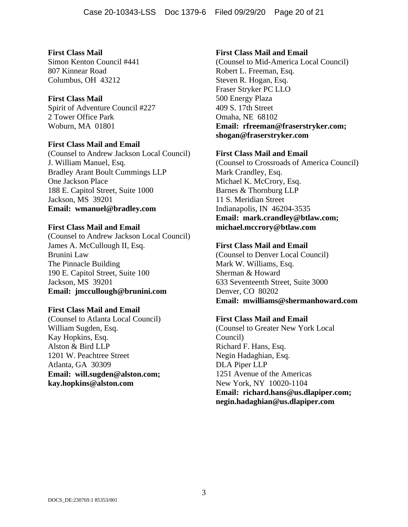**First Class Mail**  Simon Kenton Council #441 807 Kinnear Road Columbus, OH 43212

#### **First Class Mail**

Spirit of Adventure Council #227 2 Tower Office Park Woburn, MA 01801

#### **First Class Mail and Email**

(Counsel to Andrew Jackson Local Council) J. William Manuel, Esq. Bradley Arant Boult Cummings LLP One Jackson Place 188 E. Capitol Street, Suite 1000 Jackson, MS 39201 **Email: wmanuel@bradley.com** 

#### **First Class Mail and Email**

(Counsel to Andrew Jackson Local Council) James A. McCullough II, Esq. Brunini Law The Pinnacle Building 190 E. Capitol Street, Suite 100 Jackson, MS 39201 **Email: jmccullough@brunini.com** 

### **First Class Mail and Email**

(Counsel to Atlanta Local Council) William Sugden, Esq. Kay Hopkins, Esq. Alston & Bird LLP 1201 W. Peachtree Street Atlanta, GA 30309 **Email: will.sugden@alston.com; kay.hopkins@alston.com** 

#### **First Class Mail and Email**

(Counsel to Mid-America Local Council) Robert L. Freeman, Esq. Steven R. Hogan, Esq. Fraser Stryker PC LLO 500 Energy Plaza 409 S. 17th Street Omaha, NE 68102 **Email: rfreeman@fraserstryker.com; shogan@fraserstryker.com** 

### **First Class Mail and Email**

(Counsel to Crossroads of America Council) Mark Crandley, Esq. Michael K. McCrory, Esq. Barnes & Thornburg LLP 11 S. Meridian Street Indianapolis, IN 46204-3535 **Email: mark.crandley@btlaw.com; michael.mccrory@btlaw.com** 

#### **First Class Mail and Email**

(Counsel to Denver Local Council) Mark W. Williams, Esq. Sherman & Howard 633 Seventeenth Street, Suite 3000 Denver, CO 80202 **Email: mwilliams@shermanhoward.com** 

### **First Class Mail and Email**

(Counsel to Greater New York Local Council) Richard F. Hans, Esq. Negin Hadaghian, Esq. DLA Piper LLP 1251 Avenue of the Americas New York, NY 10020-1104 **Email: richard.hans@us.dlapiper.com; negin.hadaghian@us.dlapiper.com**